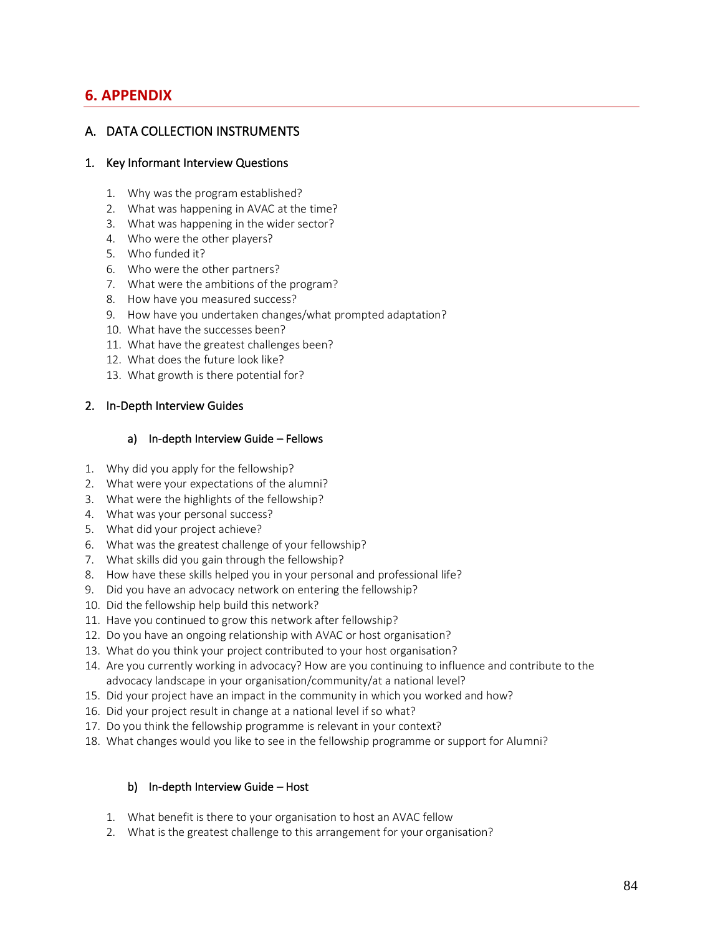# **6. APPENDIX**

## A. DATA COLLECTION INSTRUMENTS

#### 1. Key Informant Interview Questions

- 1. Why was the program established?
- 2. What was happening in AVAC at the time?
- 3. What was happening in the wider sector?
- 4. Who were the other players?
- 5. Who funded it?
- 6. Who were the other partners?
- 7. What were the ambitions of the program?
- 8. How have you measured success?
- 9. How have you undertaken changes/what prompted adaptation?
- 10. What have the successes been?
- 11. What have the greatest challenges been?
- 12. What does the future look like?
- 13. What growth is there potential for?

#### 2. In-Depth Interview Guides

#### a) In-depth Interview Guide – Fellows

- 1. Why did you apply for the fellowship?
- 2. What were your expectations of the alumni?
- 3. What were the highlights of the fellowship?
- 4. What was your personal success?
- 5. What did your project achieve?
- 6. What was the greatest challenge of your fellowship?
- 7. What skills did you gain through the fellowship?
- 8. How have these skills helped you in your personal and professional life?
- 9. Did you have an advocacy network on entering the fellowship?
- 10. Did the fellowship help build this network?
- 11. Have you continued to grow this network after fellowship?
- 12. Do you have an ongoing relationship with AVAC or host organisation?
- 13. What do you think your project contributed to your host organisation?
- 14. Are you currently working in advocacy? How are you continuing to influence and contribute to the advocacy landscape in your organisation/community/at a national level?
- 15. Did your project have an impact in the community in which you worked and how?
- 16. Did your project result in change at a national level if so what?
- 17. Do you think the fellowship programme is relevant in your context?
- 18. What changes would you like to see in the fellowship programme or support for Alumni?

## b) In-depth Interview Guide – Host

- 1. What benefit is there to your organisation to host an AVAC fellow
- 2. What is the greatest challenge to this arrangement for your organisation?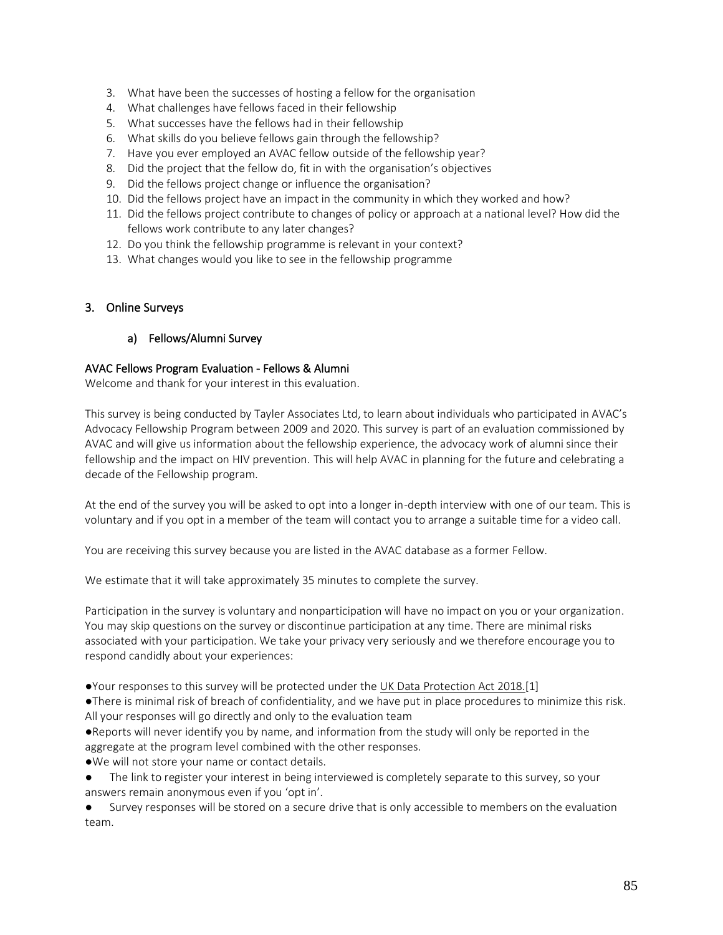- 3. What have been the successes of hosting a fellow for the organisation
- 4. What challenges have fellows faced in their fellowship
- 5. What successes have the fellows had in their fellowship
- 6. What skills do you believe fellows gain through the fellowship?
- 7. Have you ever employed an AVAC fellow outside of the fellowship year?
- 8. Did the project that the fellow do, fit in with the organisation's objectives
- 9. Did the fellows project change or influence the organisation?
- 10. Did the fellows project have an impact in the community in which they worked and how?
- 11. Did the fellows project contribute to changes of policy or approach at a national level? How did the fellows work contribute to any later changes?
- 12. Do you think the fellowship programme is relevant in your context?
- 13. What changes would you like to see in the fellowship programme

#### 3. Online Surveys

#### a) Fellows/Alumni Survey

#### AVAC Fellows Program Evaluation - Fellows & Alumni

Welcome and thank for your interest in this evaluation.

This survey is being conducted by Tayler Associates Ltd, to learn about individuals who participated in AVAC's Advocacy Fellowship Program between 2009 and 2020. This survey is part of an evaluation commissioned by AVAC and will give us information about the fellowship experience, the advocacy work of alumni since their fellowship and the impact on HIV prevention. This will help AVAC in planning for the future and celebrating a decade of the Fellowship program.

At the end of the survey you will be asked to opt into a longer in-depth interview with one of our team. This is voluntary and if you opt in a member of the team will contact you to arrange a suitable time for a video call.

You are receiving this survey because you are listed in the AVAC database as a former Fellow.

We estimate that it will take approximately 35 minutes to complete the survey.

Participation in the survey is voluntary and nonparticipation will have no impact on you or your organization. You may skip questions on the survey or discontinue participation at any time. There are minimal risks associated with your participation. We take your privacy very seriously and we therefore encourage you to respond candidly about your experiences:

●Your responses to this survey will be protected under the UK Data [Protection](http://www.legislation.gov.uk/ukpga/2018/12/contents/enacted) Act 2018.[1]

●There is minimal risk of breach of confidentiality, and we have put in place procedures to minimize this risk. All your responses will go directly and only to the evaluation team

●Reports will never identify you by name, and information from the study will only be reported in the aggregate at the program level combined with the other responses.

- ●We will not store your name or contact details.
- The link to register your interest in being interviewed is completely separate to this survey, so your answers remain anonymous even if you 'opt in'.

Survey responses will be stored on a secure drive that is only accessible to members on the evaluation team.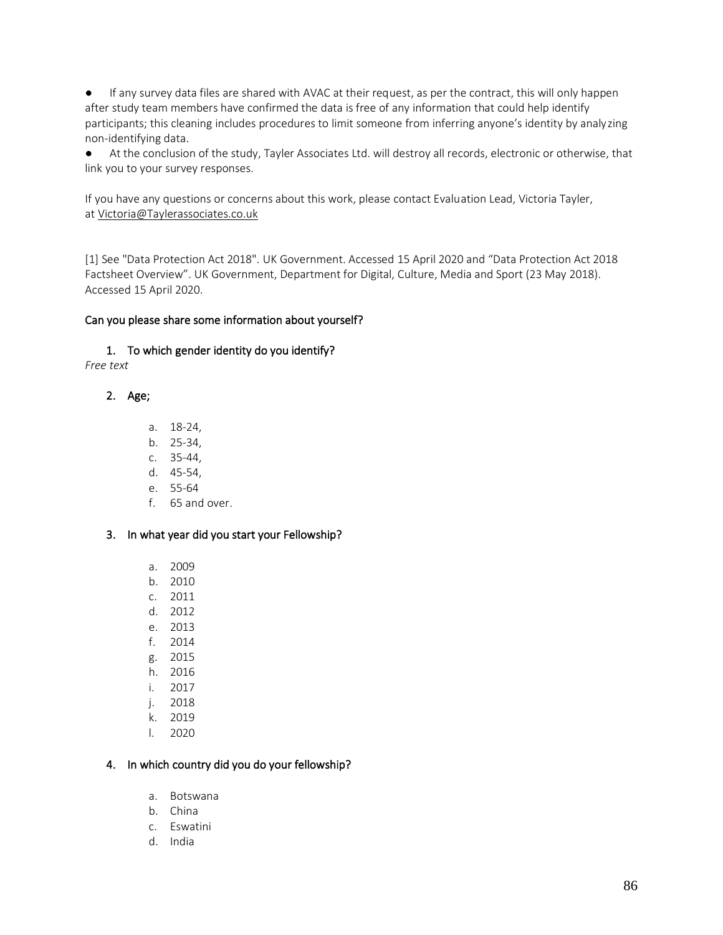● If any survey data files are shared with AVAC at their request, as per the contract, this will only happen after study team members have confirmed the data is free of any information that could help identify participants; this cleaning includes procedures to limit someone from inferring anyone's identity by analyzing non-identifying data.

● At the conclusion of the study, Tayler Associates Ltd. will destroy all records, electronic or otherwise, that link you to your survey responses.

If you have any questions or concerns about this work, please contact Evaluation Lead, Victoria Tayler, at [Victoria@Taylerassociates.co.uk](mailto:Victoria@Taylerassociates.co.uk)

[1] See "Data Protection Act 2018". UK Government. Accessed 15 April 2020 and "Data Protection Act 2018 Factsheet Overview". UK Government, Department for Digital, Culture, Media and Sport (23 May 2018). Accessed 15 April 2020.

#### Can you please share some information about yourself?

## 1. To which gender identity do you identify?

*Free text*

## 2. Age;

- a. 18-24,
- b. 25-34,
- c. 35-44,
- d. 45-54,
- e. 55-64
- f. 65 and over.

## 3. In what year did you start your Fellowship?

- a. 2009
- b. 2010
- c. 2011
- d. 2012
- e. 2013
- f. 2014
- g. 2015
- h. 2016
- i. 2017
- j. 2018
- k. 2019
- l. 2020

## 4. In which country did you do your fellowship?

- a. Botswana
- b. China
- c. Eswatini
- d. India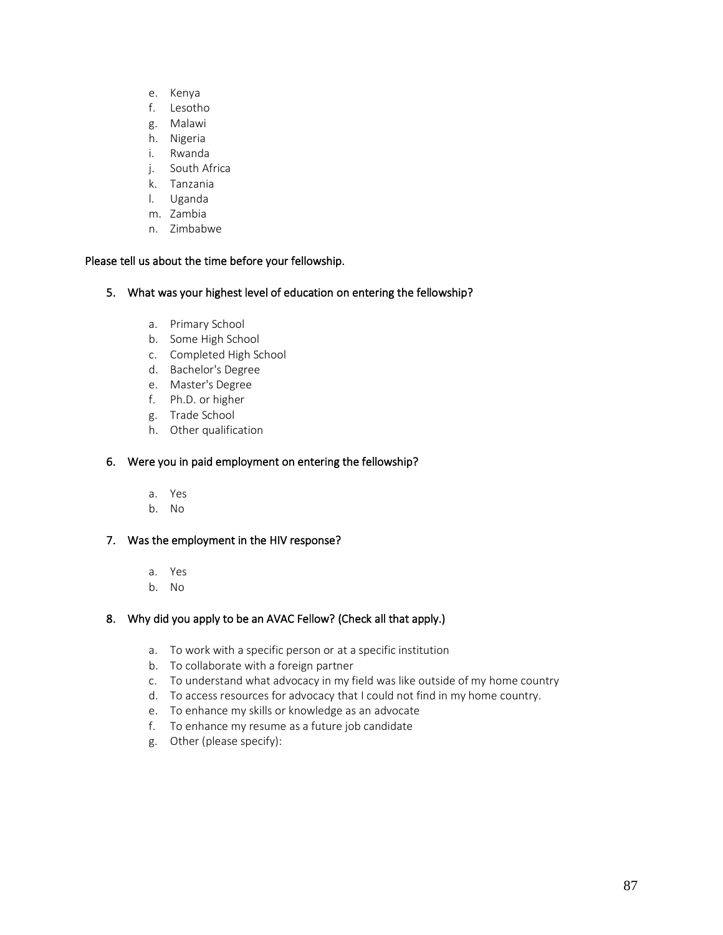- e. Kenya
- f. Lesotho
- g. Malawi
- h. Nigeria
- i. Rwanda
- j. South Africa
- k. Tanzania
- l. Uganda
- m. Zambia
- n. Zimbabwe

#### Please tell us about the time before your fellowship.

- 5. What was your highest level of education on entering the fellowship?
	- a. Primary School
	- b. Some High School
	- c. Completed High School
	- d. Bachelor's Degree
	- e. Master's Degree
	- f. Ph.D. or higher
	- g. Trade School
	- h. Other qualification

## 6. Were you in paid employment on entering the fellowship?

- a. Yes
- b. No

## 7. Was the employment in the HIV response?

- a. Yes
- b. No

## 8. Why did you apply to be an AVAC Fellow? (Check all that apply.)

- a. To work with a specific person or at a specific institution
- b. To collaborate with a foreign partner
- c. To understand what advocacy in my field was like outside of my home country
- d. To access resources for advocacy that I could not find in my home country.
- e. To enhance my skills or knowledge as an advocate
- f. To enhance my resume as a future job candidate
- g. Other (please specify):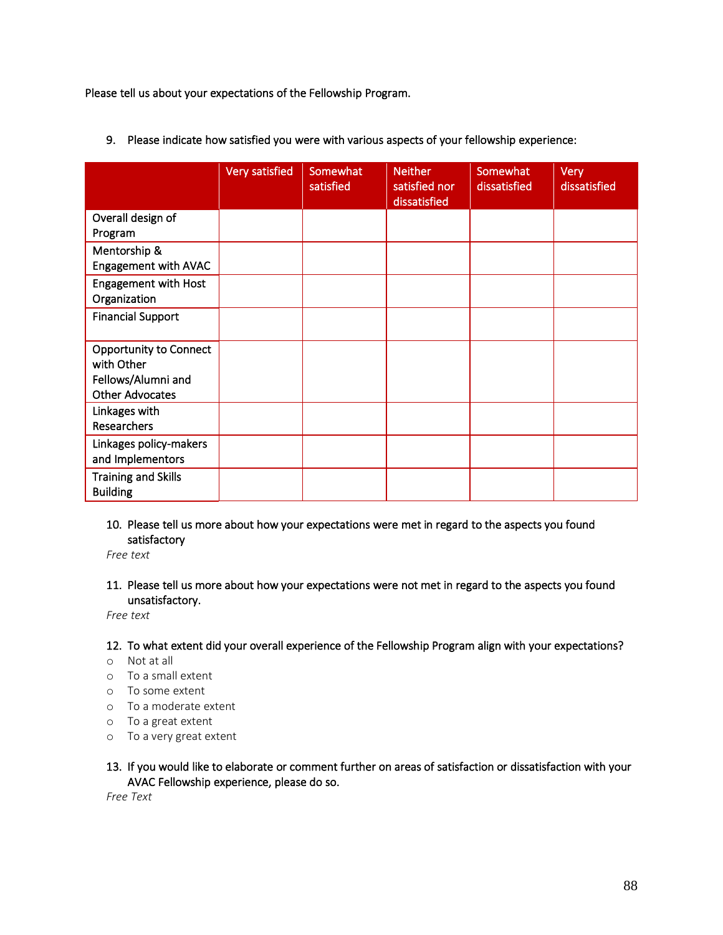Please tell us about your expectations of the Fellowship Program.

|                                                                                             | Very satisfied | Somewhat<br>satisfied | <b>Neither</b><br>satisfied nor<br>dissatisfied | Somewhat<br>dissatisfied | Very<br>dissatisfied |
|---------------------------------------------------------------------------------------------|----------------|-----------------------|-------------------------------------------------|--------------------------|----------------------|
| Overall design of<br>Program                                                                |                |                       |                                                 |                          |                      |
| Mentorship &<br>Engagement with AVAC                                                        |                |                       |                                                 |                          |                      |
| <b>Engagement with Host</b><br>Organization                                                 |                |                       |                                                 |                          |                      |
| <b>Financial Support</b>                                                                    |                |                       |                                                 |                          |                      |
| <b>Opportunity to Connect</b><br>with Other<br>Fellows/Alumni and<br><b>Other Advocates</b> |                |                       |                                                 |                          |                      |
| Linkages with<br>Researchers                                                                |                |                       |                                                 |                          |                      |
| Linkages policy-makers<br>and Implementors                                                  |                |                       |                                                 |                          |                      |
| <b>Training and Skills</b><br><b>Building</b>                                               |                |                       |                                                 |                          |                      |

9. Please indicate how satisfied you were with various aspects of your fellowship experience:

10. Please tell us more about how your expectations were met in regard to the aspects you found satisfactory

*Free text*

11. Please tell us more about how your expectations were not met in regard to the aspects you found unsatisfactory.

*Free text*

## 12. To what extent did your overall experience of the Fellowship Program align with your expectations?

- o Not at all
- o To a small extent
- o To some extent
- o To a moderate extent
- o To a great extent
- o To a very great extent

## 13. If you would like to elaborate or comment further on areas of satisfaction or dissatisfaction with your AVAC Fellowship experience, please do so.

*Free Text*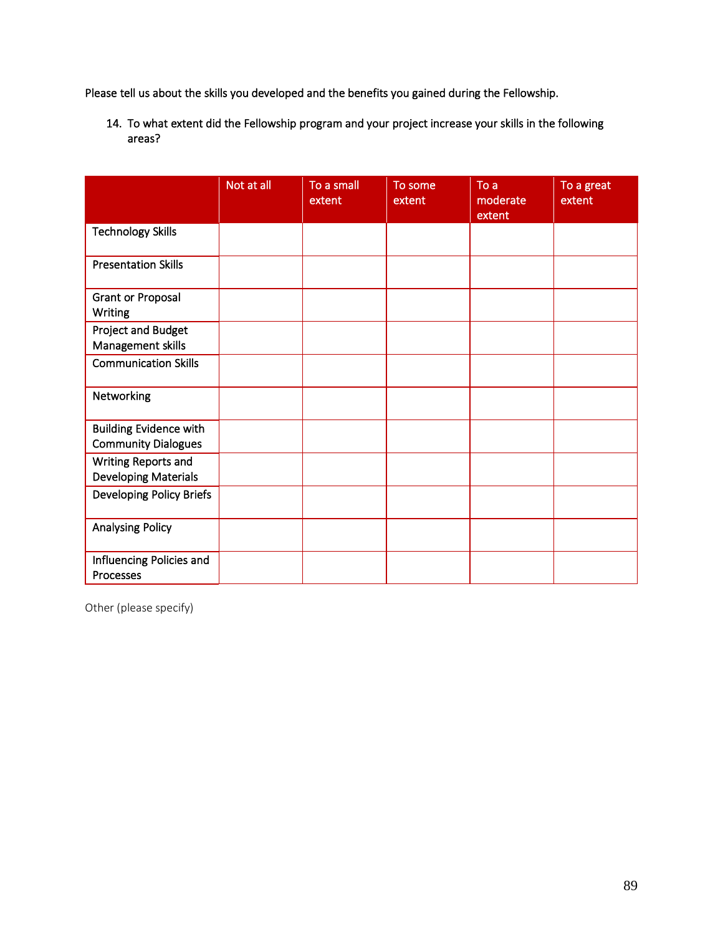Please tell us about the skills you developed and the benefits you gained during the Fellowship.

14. To what extent did the Fellowship program and your project increase your skills in the following areas?

|                                                             | Not at all | To a small<br>extent | To some<br>extent | To a<br>moderate<br>extent | To a great<br>extent |
|-------------------------------------------------------------|------------|----------------------|-------------------|----------------------------|----------------------|
| <b>Technology Skills</b>                                    |            |                      |                   |                            |                      |
| <b>Presentation Skills</b>                                  |            |                      |                   |                            |                      |
| <b>Grant or Proposal</b><br><b>Writing</b>                  |            |                      |                   |                            |                      |
| Project and Budget<br>Management skills                     |            |                      |                   |                            |                      |
| <b>Communication Skills</b>                                 |            |                      |                   |                            |                      |
| Networking                                                  |            |                      |                   |                            |                      |
| <b>Building Evidence with</b><br><b>Community Dialogues</b> |            |                      |                   |                            |                      |
| Writing Reports and<br><b>Developing Materials</b>          |            |                      |                   |                            |                      |
| <b>Developing Policy Briefs</b>                             |            |                      |                   |                            |                      |
| <b>Analysing Policy</b>                                     |            |                      |                   |                            |                      |
| Influencing Policies and<br>Processes                       |            |                      |                   |                            |                      |

Other (please specify)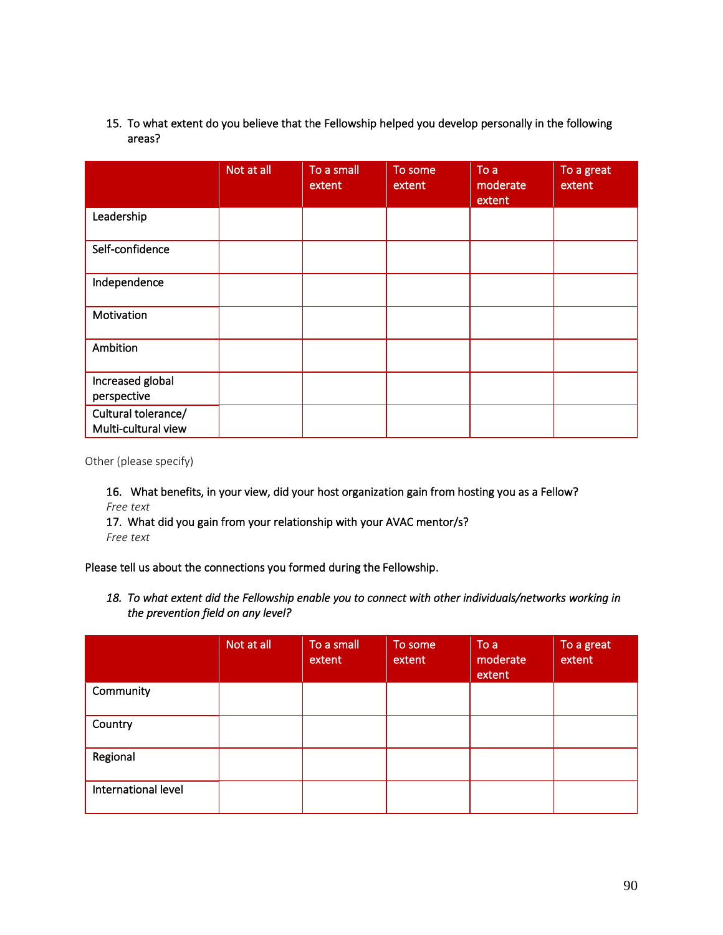## 15. To what extent do you believe that the Fellowship helped you develop personally in the following areas?

|                                            | Not at all | To a small<br>extent | To some<br>extent | To a<br>moderate<br>extent | To a great<br>extent |
|--------------------------------------------|------------|----------------------|-------------------|----------------------------|----------------------|
| Leadership                                 |            |                      |                   |                            |                      |
| Self-confidence                            |            |                      |                   |                            |                      |
| Independence                               |            |                      |                   |                            |                      |
| Motivation                                 |            |                      |                   |                            |                      |
| Ambition                                   |            |                      |                   |                            |                      |
| Increased global<br>perspective            |            |                      |                   |                            |                      |
| Cultural tolerance/<br>Multi-cultural view |            |                      |                   |                            |                      |

Other (please specify)

16. What benefits, in your view, did your host organization gain from hosting you as a Fellow? *Free text*

17. What did you gain from your relationship with your AVAC mentor/s? *Free text*

Please tell us about the connections you formed during the Fellowship.

*18. To what extent did the Fellowship enable you to connect with other individuals/networks working in the prevention field on any level?* 

|                     | Not at all | To a small<br>extent | To some<br>extent | To a<br>moderate<br>extent | To a great<br>extent |
|---------------------|------------|----------------------|-------------------|----------------------------|----------------------|
| Community           |            |                      |                   |                            |                      |
| Country             |            |                      |                   |                            |                      |
| Regional            |            |                      |                   |                            |                      |
| International level |            |                      |                   |                            |                      |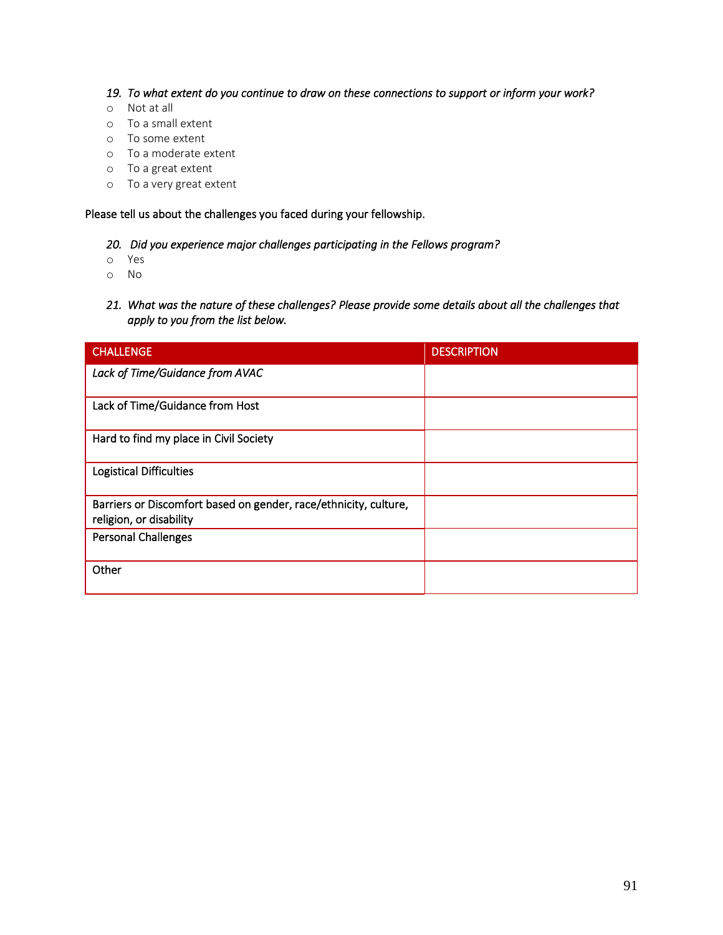#### *19. To what extent do you continue to draw on these connections to support or inform your work?*

- o Not at all
- o To a small extent
- o To some extent
- o To a moderate extent
- o To a great extent
- o To a very great extent

Please tell us about the challenges you faced during your fellowship.

#### *20. Did you experience major challenges participating in the Fellows program?*

- o Yes
- o No
- *21. What was the nature of these challenges? Please provide some details about all the challenges that apply to you from the list below.*

| <b>CHALLENGE</b>                                                                            | <b>DESCRIPTION</b> |
|---------------------------------------------------------------------------------------------|--------------------|
| Lack of Time/Guidance from AVAC                                                             |                    |
| Lack of Time/Guidance from Host                                                             |                    |
| Hard to find my place in Civil Society                                                      |                    |
| <b>Logistical Difficulties</b>                                                              |                    |
| Barriers or Discomfort based on gender, race/ethnicity, culture,<br>religion, or disability |                    |
| <b>Personal Challenges</b>                                                                  |                    |
| Other                                                                                       |                    |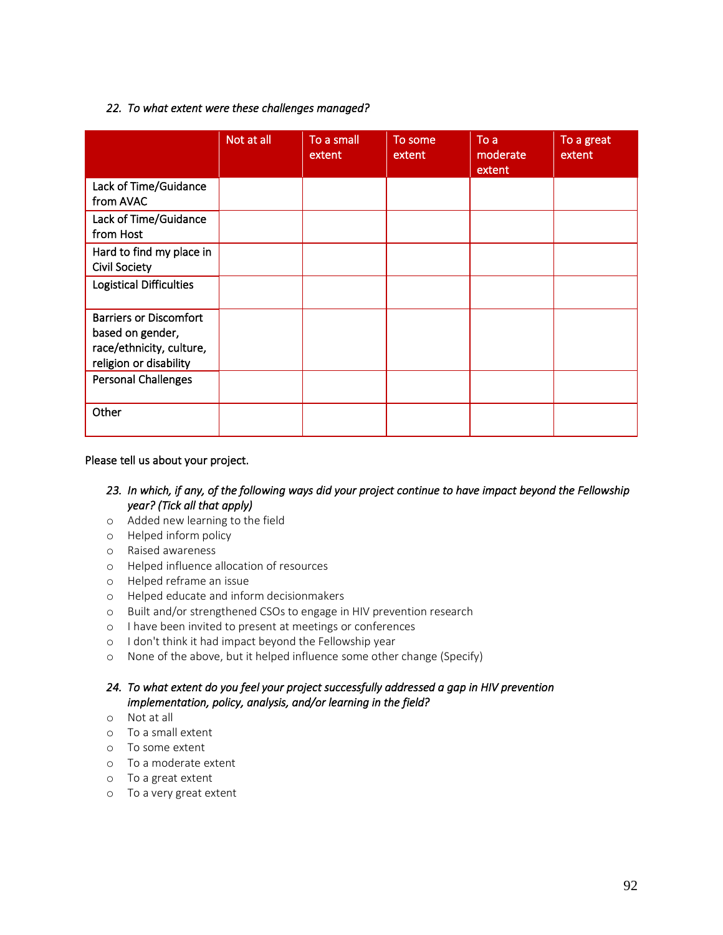## *22. To what extent were these challenges managed?*

|                                                                                                         | Not at all | To a small<br>extent | To some<br>extent | To a<br>moderate<br>extent | To a great<br>extent |
|---------------------------------------------------------------------------------------------------------|------------|----------------------|-------------------|----------------------------|----------------------|
| Lack of Time/Guidance<br>from AVAC                                                                      |            |                      |                   |                            |                      |
| Lack of Time/Guidance<br>from Host                                                                      |            |                      |                   |                            |                      |
| Hard to find my place in<br><b>Civil Society</b>                                                        |            |                      |                   |                            |                      |
| <b>Logistical Difficulties</b>                                                                          |            |                      |                   |                            |                      |
| <b>Barriers or Discomfort</b><br>based on gender,<br>race/ethnicity, culture,<br>religion or disability |            |                      |                   |                            |                      |
| Personal Challenges                                                                                     |            |                      |                   |                            |                      |
| Other                                                                                                   |            |                      |                   |                            |                      |

#### Please tell us about your project.

## *23. In which, if any, of the following ways did your project continue to have impact beyond the Fellowship year? (Tick all that apply)*

- o Added new learning to the field
- o Helped inform policy
- o Raised awareness
- o Helped influence allocation of resources
- o Helped reframe an issue
- o Helped educate and inform decisionmakers
- o Built and/or strengthened CSOs to engage in HIV prevention research
- o I have been invited to present at meetings or conferences
- o I don't think it had impact beyond the Fellowship year
- o None of the above, but it helped influence some other change (Specify)

## *24. To what extent do you feel your project successfully addressed a gap in HIV prevention implementation, policy, analysis, and/or learning in the field?*

- o Not at all
- o To a small extent
- o To some extent
- o To a moderate extent
- o To a great extent
- o To a very great extent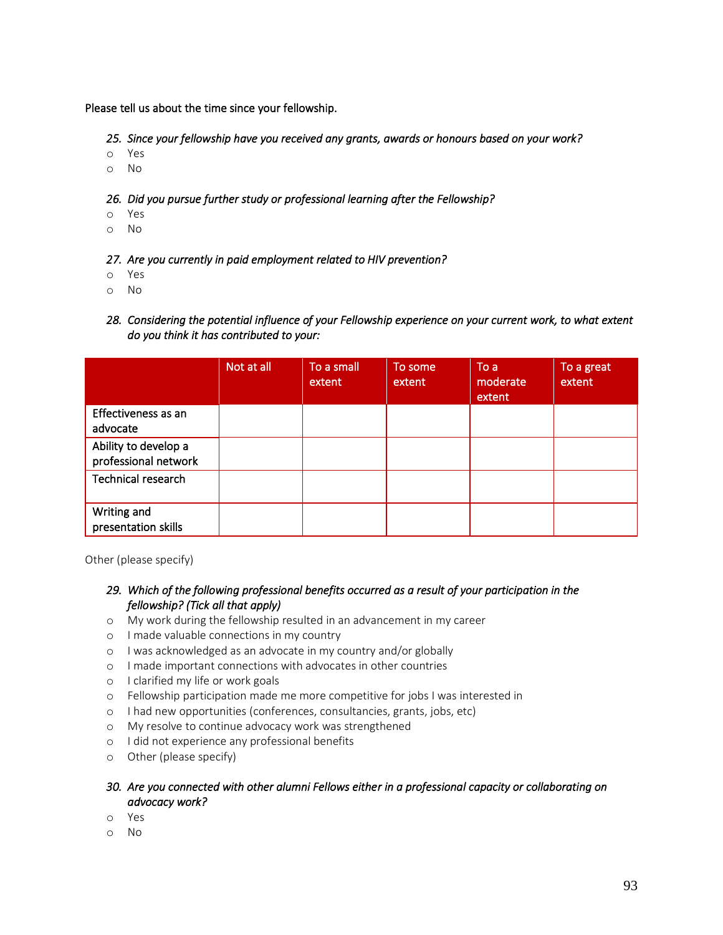Please tell us about the time since your fellowship.

*25. Since your fellowship have you received any grants, awards or honours based on your work?* 

- o Yes
- o No

*26. Did you pursue further study or professional learning after the Fellowship?* 

- o Yes
- o No

#### *27. Are you currently in paid employment related to HIV prevention?*

- o Yes
- o No
- *28. Considering the potential influence of your Fellowship experience on your current work, to what extent do you think it has contributed to your:*

|                                              | Not at all | To a small<br>extent | To some<br>extent | To a<br>moderate<br>extent | To a great<br>extent |
|----------------------------------------------|------------|----------------------|-------------------|----------------------------|----------------------|
| Effectiveness as an<br>advocate              |            |                      |                   |                            |                      |
| Ability to develop a<br>professional network |            |                      |                   |                            |                      |
| Technical research                           |            |                      |                   |                            |                      |
| Writing and<br>presentation skills           |            |                      |                   |                            |                      |

Other (please specify)

- *29. Which of the following professional benefits occurred as a result of your participation in the fellowship? (Tick all that apply)*
- o My work during the fellowship resulted in an advancement in my career
- o I made valuable connections in my country
- o I was acknowledged as an advocate in my country and/or globally
- o I made important connections with advocates in other countries
- o I clarified my life or work goals
- o Fellowship participation made me more competitive for jobs I was interested in
- o I had new opportunities (conferences, consultancies, grants, jobs, etc)
- o My resolve to continue advocacy work was strengthened
- o I did not experience any professional benefits
- o Other (please specify)

## *30. Are you connected with other alumni Fellows either in a professional capacity or collaborating on advocacy work?*

- o Yes
- o No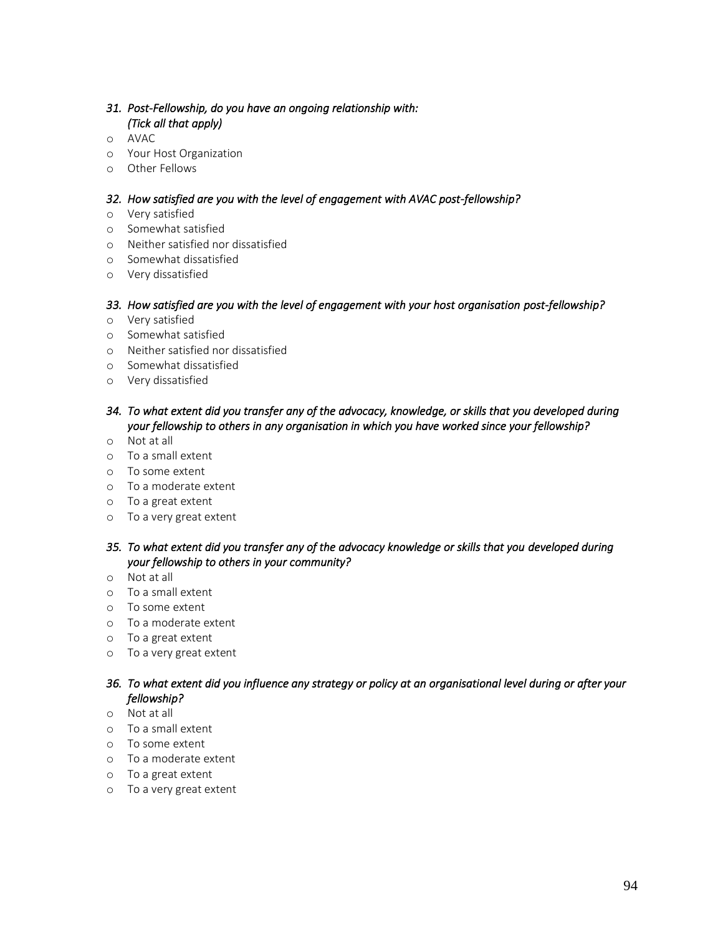## *31. Post-Fellowship, do you have an ongoing relationship with: (Tick all that apply)*

- o AVAC
- o Your Host Organization
- o Other Fellows

#### *32. How satisfied are you with the level of engagement with AVAC post-fellowship?*

- o Very satisfied
- o Somewhat satisfied
- o Neither satisfied nor dissatisfied
- o Somewhat dissatisfied
- o Very dissatisfied

#### *33. How satisfied are you with the level of engagement with your host organisation post-fellowship?*

- o Very satisfied
- o Somewhat satisfied
- o Neither satisfied nor dissatisfied
- o Somewhat dissatisfied
- o Very dissatisfied

## *34. To what extent did you transfer any of the advocacy, knowledge, or skills that you developed during your fellowship to others in any organisation in which you have worked since your fellowship?*

- o Not at all
- o To a small extent
- o To some extent
- o To a moderate extent
- o To a great extent
- o To a very great extent

## *35. To what extent did you transfer any of the advocacy knowledge or skills that you developed during your fellowship to others in your community?*

- o Not at all
- o To a small extent
- o To some extent
- o To a moderate extent
- o To a great extent
- o To a very great extent

## *36. To what extent did you influence any strategy or policy at an organisational level during or after your fellowship?*

- o Not at all
- o To a small extent
- o To some extent
- o To a moderate extent
- o To a great extent
- o To a very great extent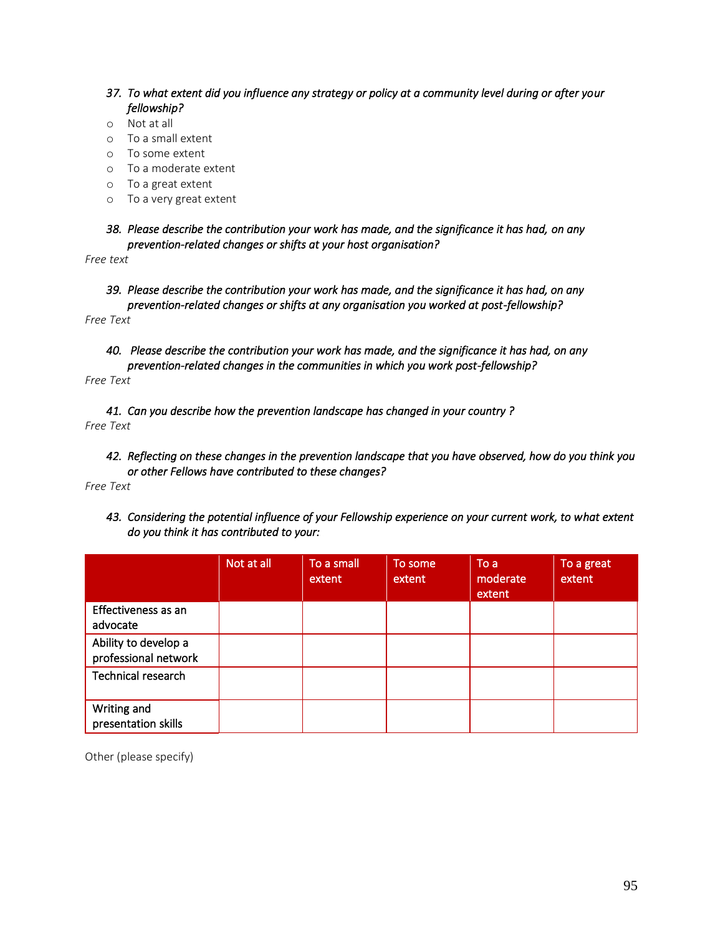- *37. To what extent did you influence any strategy or policy at a community level during or after your fellowship?*
- o Not at all
- o To a small extent
- o To some extent
- o To a moderate extent
- o To a great extent
- o To a very great extent
- *38. Please describe the contribution your work has made, and the significance it has had, on any prevention-related changes or shifts at your host organisation?*

*Free text*

*39. Please describe the contribution your work has made, and the significance it has had, on any prevention-related changes or shifts at any organisation you worked at post-fellowship?* 

*Free Text*

*40. Please describe the contribution your work has made, and the significance it has had, on any prevention-related changes in the communities in which you work post-fellowship?* 

*Free Text*

*41. Can you describe how the prevention landscape has changed in your country ? Free Text*

*42. Reflecting on these changes in the prevention landscape that you have observed, how do you think you or other Fellows have contributed to these changes?* 

*Free Text*

*43. Considering the potential influence of your Fellowship experience on your current work, to what extent do you think it has contributed to your:* 

|                                              | Not at all | To a small<br>extent | To some<br>extent | To a<br>moderate<br>extent | To a great<br>extent |
|----------------------------------------------|------------|----------------------|-------------------|----------------------------|----------------------|
| Effectiveness as an<br>advocate              |            |                      |                   |                            |                      |
| Ability to develop a<br>professional network |            |                      |                   |                            |                      |
| Technical research                           |            |                      |                   |                            |                      |
| Writing and<br>presentation skills           |            |                      |                   |                            |                      |

Other (please specify)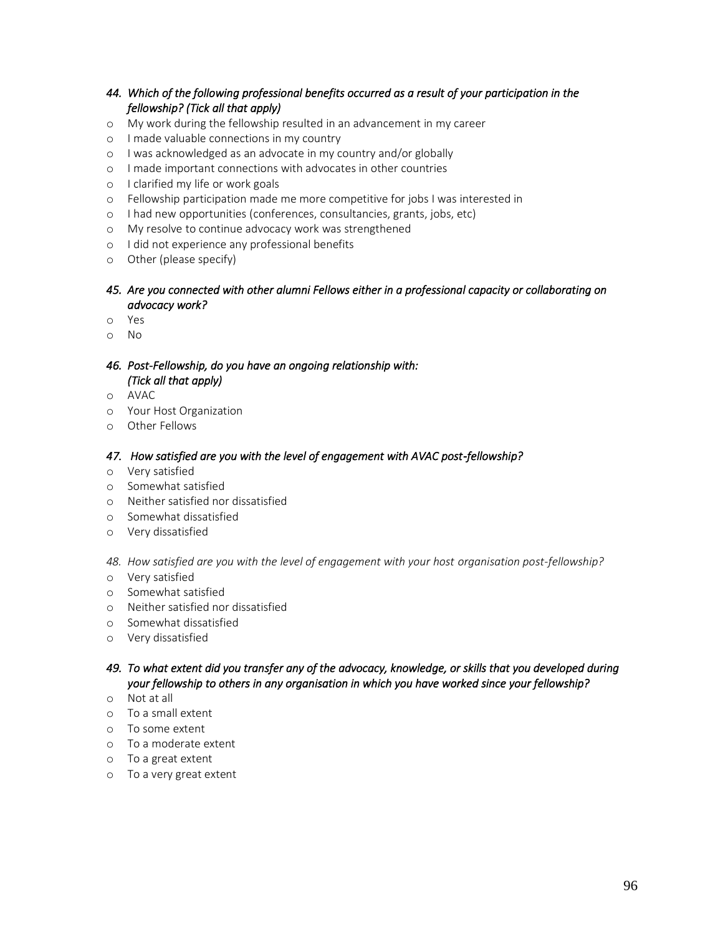## *44. Which of the following professional benefits occurred as a result of your participation in the fellowship? (Tick all that apply)*

- o My work during the fellowship resulted in an advancement in my career
- o I made valuable connections in my country
- o I was acknowledged as an advocate in my country and/or globally
- o I made important connections with advocates in other countries
- o I clarified my life or work goals
- o Fellowship participation made me more competitive for jobs I was interested in
- o I had new opportunities (conferences, consultancies, grants, jobs, etc)
- o My resolve to continue advocacy work was strengthened
- o I did not experience any professional benefits
- o Other (please specify)

## *45. Are you connected with other alumni Fellows either in a professional capacity or collaborating on advocacy work?*

- o Yes
- o No

## *46. Post-Fellowship, do you have an ongoing relationship with: (Tick all that apply)*

- o AVAC
- o Your Host Organization
- o Other Fellows

#### *47. How satisfied are you with the level of engagement with AVAC post-fellowship?*

- o Very satisfied
- o Somewhat satisfied
- o Neither satisfied nor dissatisfied
- o Somewhat dissatisfied
- o Very dissatisfied

#### *48. How satisfied are you with the level of engagement with your host organisation post-fellowship?*

- o Very satisfied
- o Somewhat satisfied
- o Neither satisfied nor dissatisfied
- o Somewhat dissatisfied
- o Very dissatisfied

## *49. To what extent did you transfer any of the advocacy, knowledge, or skills that you developed during your fellowship to others in any organisation in which you have worked since your fellowship?*

- o Not at all
- o To a small extent
- o To some extent
- o To a moderate extent
- o To a great extent
- o To a very great extent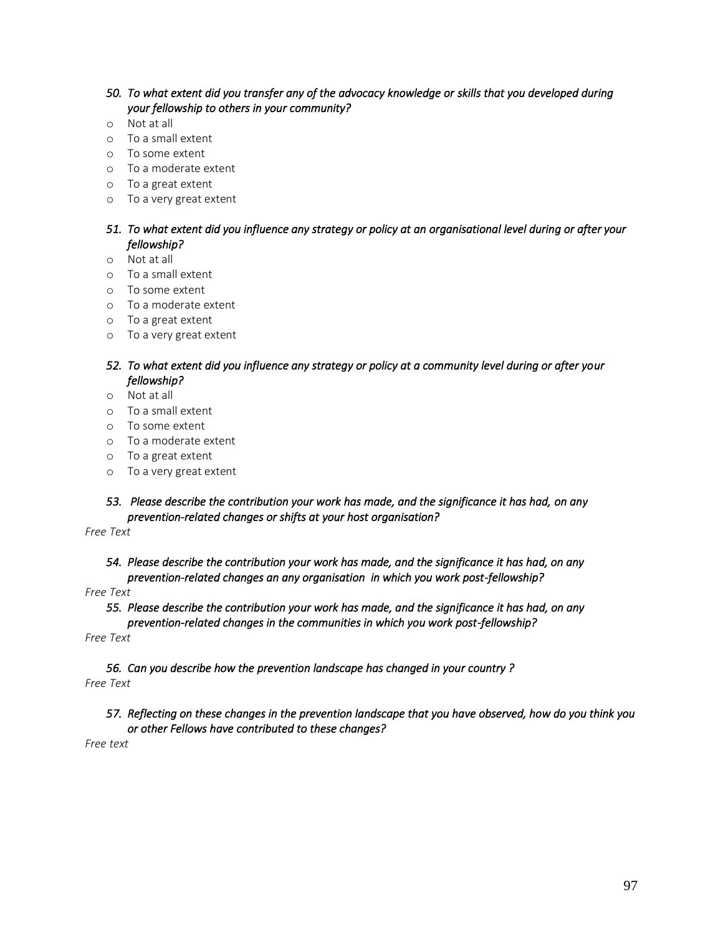## *50. To what extent did you transfer any of the advocacy knowledge or skills that you developed during your fellowship to others in your community?*

- o Not at all
- o To a small extent
- o To some extent
- o To a moderate extent
- o To a great extent
- o To a very great extent

## *51. To what extent did you influence any strategy or policy at an organisational level during or after your fellowship?*

- o Not at all
- o To a small extent
- o To some extent
- o To a moderate extent
- o To a great extent
- o To a very great extent

## *52. To what extent did you influence any strategy or policy at a community level during or after your fellowship?*

- o Not at all
- o To a small extent
- o To some extent
- o To a moderate extent
- o To a great extent
- o To a very great extent

## *53. Please describe the contribution your work has made, and the significance it has had, on any prevention-related changes or shifts at your host organisation?*

*Free Text*

*54. Please describe the contribution your work has made, and the significance it has had, on any prevention-related changes an any organisation in which you work post-fellowship?* 

#### *Free Text*

- *55. Please describe the contribution your work has made, and the significance it has had, on any*
- *prevention-related changes in the communities in which you work post-fellowship?*

*Free Text*

*56. Can you describe how the prevention landscape has changed in your country ? Free Text*

## *57. Reflecting on these changes in the prevention landscape that you have observed, how do you think you or other Fellows have contributed to these changes?*

*Free text*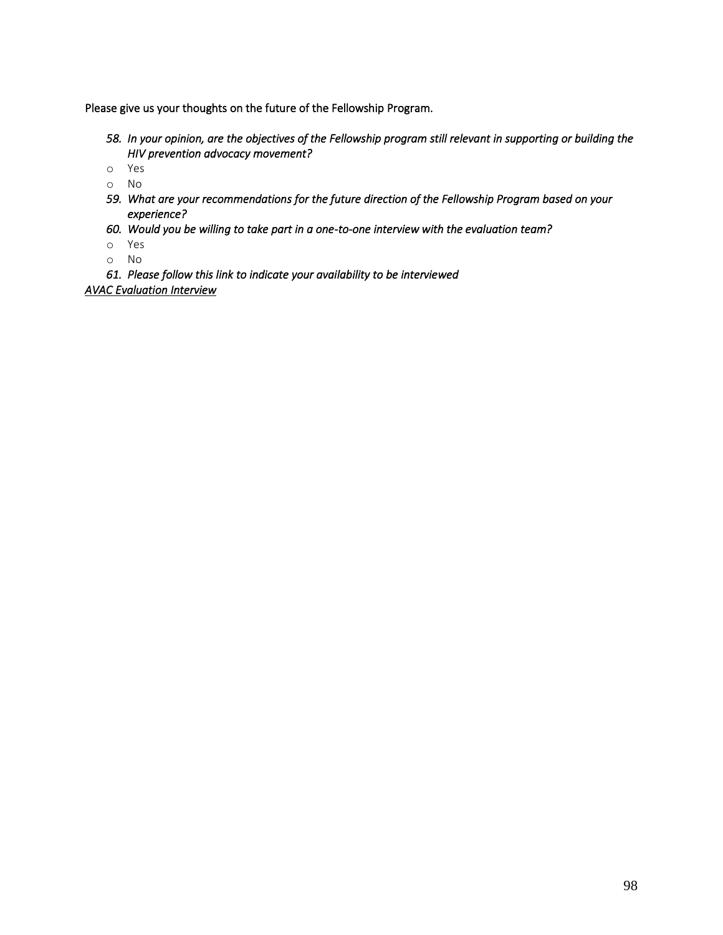Please give us your thoughts on the future of the Fellowship Program.

- *58. In your opinion, are the objectives of the Fellowship program still relevant in supporting or building the HIV prevention advocacy movement?*
- o Yes
- o No
- *59. What are your recommendations for the future direction of the Fellowship Program based on your experience?*
- *60. Would you be willing to take part in a one-to-one interview with the evaluation team?*
- o Yes
- o No

*61. Please follow this link to indicate your availability to be interviewed [AVAC Evaluation Interview](https://doodle.com/poll/cuiqbwuii7enizu2)*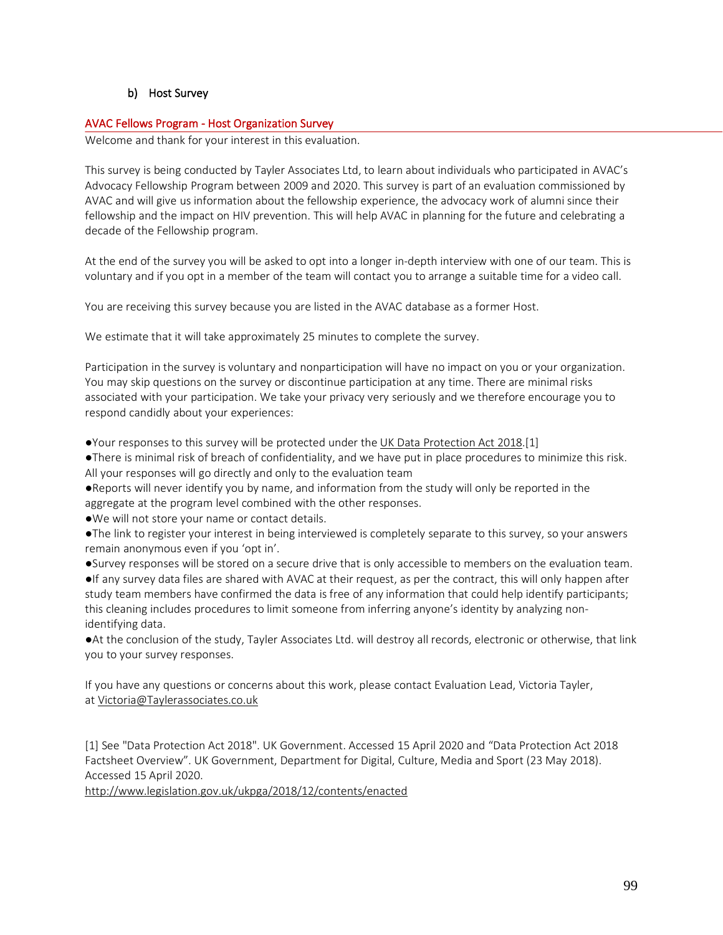## b) Host Survey

#### AVAC Fellows Program - Host Organization Survey

Welcome and thank for your interest in this evaluation.

This survey is being conducted by Tayler Associates Ltd, to learn about individuals who participated in AVAC's Advocacy Fellowship Program between 2009 and 2020. This survey is part of an evaluation commissioned by AVAC and will give us information about the fellowship experience, the advocacy work of alumni since their fellowship and the impact on HIV prevention. This will help AVAC in planning for the future and celebrating a decade of the Fellowship program.

At the end of the survey you will be asked to opt into a longer in-depth interview with one of our team. This is voluntary and if you opt in a member of the team will contact you to arrange a suitable time for a video call.

You are receiving this survey because you are listed in the AVAC database as a former Host.

We estimate that it will take approximately 25 minutes to complete the survey.

Participation in the survey is voluntary and nonparticipation will have no impact on you or your organization. You may skip questions on the survey or discontinue participation at any time. There are minimal risks associated with your participation. We take your privacy very seriously and we therefore encourage you to respond candidly about your experiences:

●Your responses to this survey will be protected under the UK Data [Protection](http://www.legislation.gov.uk/ukpga/2018/12/contents/enacted) Act 2018.[1]

●There is minimal risk of breach of confidentiality, and we have put in place procedures to minimize this risk. All your responses will go directly and only to the evaluation team

●Reports will never identify you by name, and information from the study will only be reported in the aggregate at the program level combined with the other responses.

●We will not store your name or contact details.

●The link to register your interest in being interviewed is completely separate to this survey, so your answers remain anonymous even if you 'opt in'.

●Survey responses will be stored on a secure drive that is only accessible to members on the evaluation team. ●If any survey data files are shared with AVAC at their request, as per the contract, this will only happen after

study team members have confirmed the data is free of any information that could help identify participants; this cleaning includes procedures to limit someone from inferring anyone's identity by analyzing nonidentifying data.

●At the conclusion of the study, Tayler Associates Ltd. will destroy all records, electronic or otherwise, that link you to your survey responses.

If you have any questions or concerns about this work, please contact Evaluation Lead, Victoria Tayler, at [Victoria@Taylerassociates.co.uk](mailto:victoria@taylerassociates.co.uk)

[1] See "Data Protection Act 2018". UK Government. Accessed 15 April 2020 and "Data Protection Act 2018 Factsheet Overview". UK Government, Department for Digital, Culture, Media and Sport (23 May 2018). Accessed 15 April 2020.

<http://www.legislation.gov.uk/ukpga/2018/12/contents/enacted>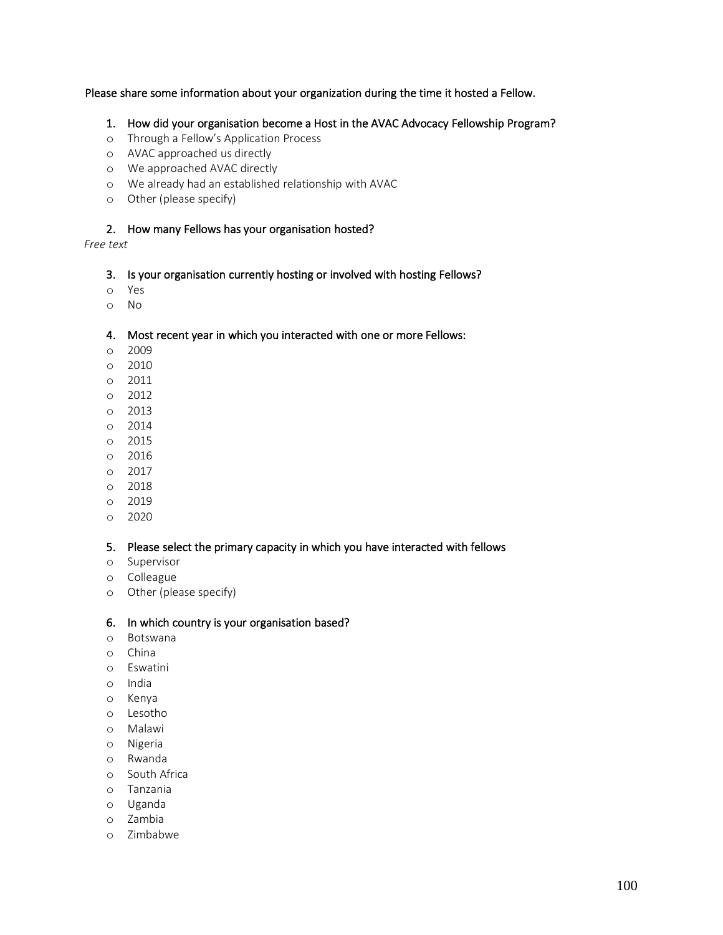## Please share some information about your organization during the time it hosted a Fellow.

- 1. How did your organisation become a Host in the AVAC Advocacy Fellowship Program?
- o Through a Fellow's Application Process
- o AVAC approached us directly
- o We approached AVAC directly
- o We already had an established relationship with AVAC
- o Other (please specify)

## 2. How many Fellows has your organisation hosted?

## *Free text*

#### 3. Is your organisation currently hosting or involved with hosting Fellows?

- o Yes
- o No

#### 4. Most recent year in which you interacted with one or more Fellows:

- o 2009
- o 2010
- o 2011
- o 2012
- o 2013
- o 2014
- o 2015
- o 2016
- o 2017
- o 2018
- o 2019
- o 2020

#### 5. Please select the primary capacity in which you have interacted with fellows

- o Supervisor
- o Colleague
- o Other (please specify)

#### 6. In which country is your organisation based?

- o Botswana
- o China
- o Eswatini
- o India
- o Kenya
- o Lesotho
- o Malawi
- o Nigeria
- o Rwanda
- o South Africa
- o Tanzania
- o Uganda
- o Zambia
- o Zimbabwe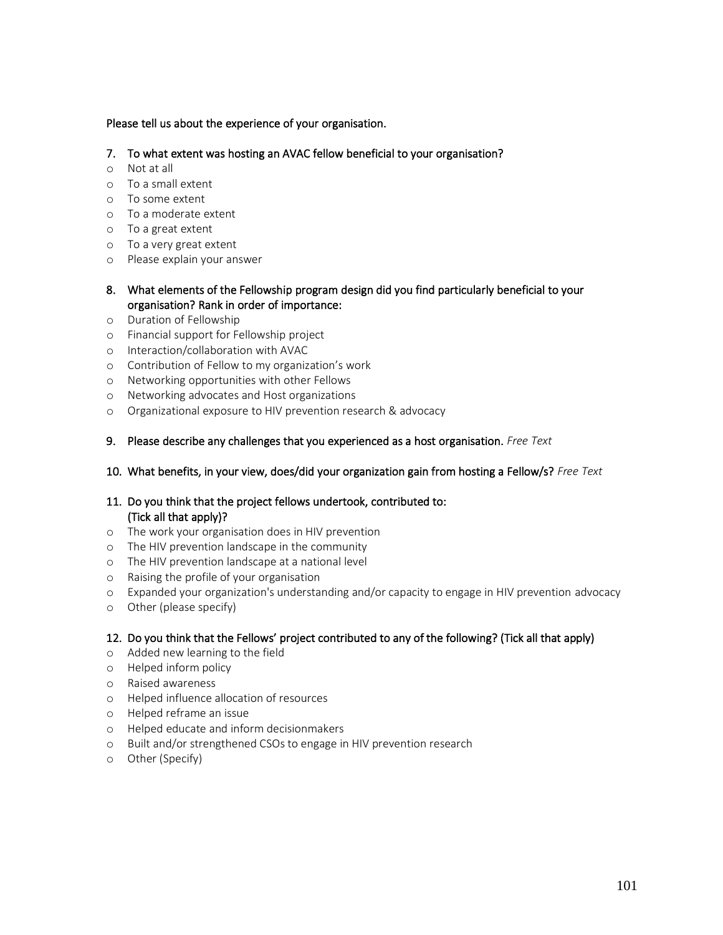## Please tell us about the experience of your organisation.

- 7. To what extent was hosting an AVAC fellow beneficial to your organisation?
- o Not at all
- o To a small extent
- o To some extent
- o To a moderate extent
- o To a great extent
- o To a very great extent
- o Please explain your answer
- 8. What elements of the Fellowship program design did you find particularly beneficial to your organisation? Rank in order of importance:
- o Duration of Fellowship
- o Financial support for Fellowship project
- o Interaction/collaboration with AVAC
- o Contribution of Fellow to my organization's work
- o Networking opportunities with other Fellows
- o Networking advocates and Host organizations
- o Organizational exposure to HIV prevention research & advocacy
- 9. Please describe any challenges that you experienced as a host organisation. *Free Text*

#### 10. What benefits, in your view, does/did your organization gain from hosting a Fellow/s? *Free Text*

## 11. Do you think that the project fellows undertook, contributed to: (Tick all that apply)?

- o The work your organisation does in HIV prevention
- o The HIV prevention landscape in the community
- o The HIV prevention landscape at a national level
- o Raising the profile of your organisation
- o Expanded your organization's understanding and/or capacity to engage in HIV prevention advocacy
- o Other (please specify)

## 12. Do you think that the Fellows' project contributed to any of the following? (Tick all that apply)

- o Added new learning to the field
- o Helped inform policy
- o Raised awareness
- o Helped influence allocation of resources
- o Helped reframe an issue
- o Helped educate and inform decisionmakers
- o Built and/or strengthened CSOs to engage in HIV prevention research
- o Other (Specify)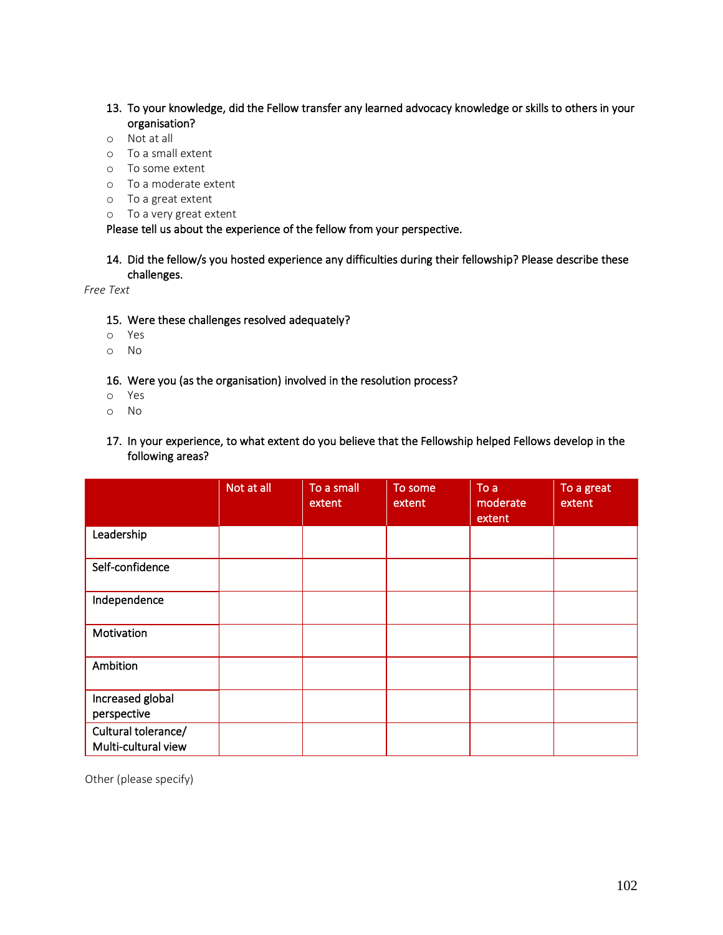- 13. To your knowledge, did the Fellow transfer any learned advocacy knowledge or skills to others in your organisation?
- o Not at all
- o To a small extent
- o To some extent
- o To a moderate extent
- o To a great extent
- o To a very great extent

Please tell us about the experience of the fellow from your perspective.

## 14. Did the fellow/s you hosted experience any difficulties during their fellowship? Please describe these challenges.

*Free Text*

- 15. Were these challenges resolved adequately?
- o Yes
- o No
- 16. Were you (as the organisation) involved in the resolution process?
- o Yes
- o No
- 17. In your experience, to what extent do you believe that the Fellowship helped Fellows develop in the following areas?

|                                            | Not at all | To a small<br>extent | To some<br>extent | To a<br>moderate<br>extent | To a great<br>extent |
|--------------------------------------------|------------|----------------------|-------------------|----------------------------|----------------------|
| Leadership                                 |            |                      |                   |                            |                      |
| Self-confidence                            |            |                      |                   |                            |                      |
| Independence                               |            |                      |                   |                            |                      |
| Motivation                                 |            |                      |                   |                            |                      |
| Ambition                                   |            |                      |                   |                            |                      |
| Increased global<br>perspective            |            |                      |                   |                            |                      |
| Cultural tolerance/<br>Multi-cultural view |            |                      |                   |                            |                      |

Other (please specify)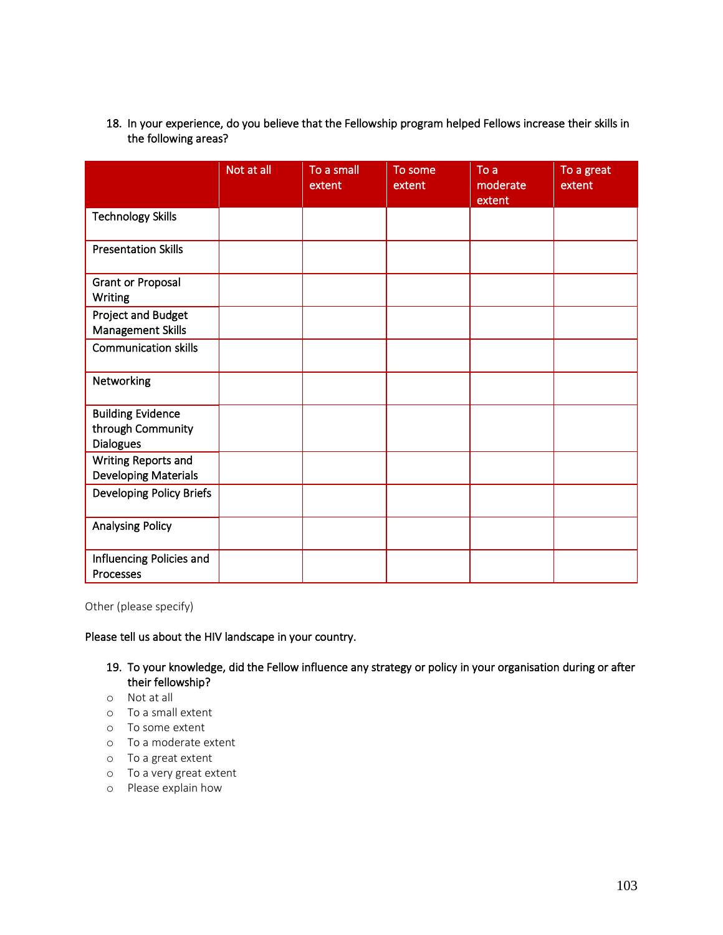18. In your experience, do you believe that the Fellowship program helped Fellows increase their skills in the following areas?

|                                                                   | Not at all | To a small<br>extent | To some<br>extent | To a<br>moderate<br>extent | To a great<br>extent |
|-------------------------------------------------------------------|------------|----------------------|-------------------|----------------------------|----------------------|
| <b>Technology Skills</b>                                          |            |                      |                   |                            |                      |
| <b>Presentation Skills</b>                                        |            |                      |                   |                            |                      |
| <b>Grant or Proposal</b><br>Writing                               |            |                      |                   |                            |                      |
| <b>Project and Budget</b><br>Management Skills                    |            |                      |                   |                            |                      |
| <b>Communication skills</b>                                       |            |                      |                   |                            |                      |
| Networking                                                        |            |                      |                   |                            |                      |
| <b>Building Evidence</b><br>through Community<br><b>Dialogues</b> |            |                      |                   |                            |                      |
| Writing Reports and<br><b>Developing Materials</b>                |            |                      |                   |                            |                      |
| Developing Policy Briefs                                          |            |                      |                   |                            |                      |
| <b>Analysing Policy</b>                                           |            |                      |                   |                            |                      |
| Influencing Policies and<br>Processes                             |            |                      |                   |                            |                      |

Other (please specify)

Please tell us about the HIV landscape in your country.

- 19. To your knowledge, did the Fellow influence any strategy or policy in your organisation during or after their fellowship?
- o Not at all
- o To a small extent
- o To some extent
- o To a moderate extent
- o To a great extent
- o To a very great extent
- o Please explain how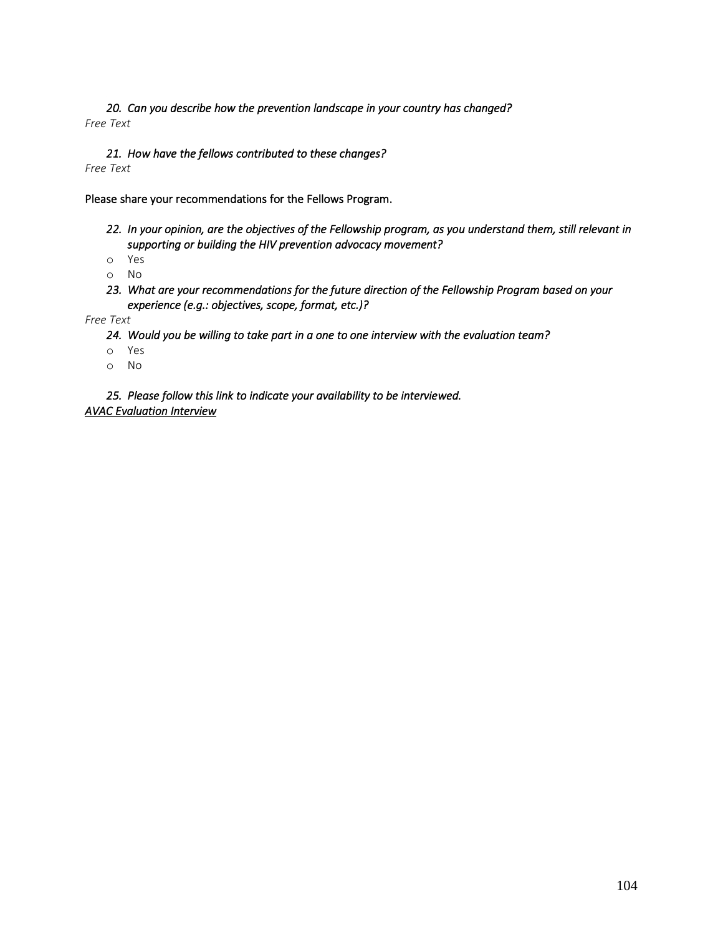*20. Can you describe how the prevention landscape in your country has changed? Free Text*

#### *21. How have the fellows contributed to these changes?*

*Free Text*

Please share your recommendations for the Fellows Program.

*22. In your opinion, are the objectives of the Fellowship program, as you understand them, still relevant in supporting or building the HIV prevention advocacy movement?* 

o Yes

o No

*23. What are your recommendations for the future direction of the Fellowship Program based on your experience (e.g.: objectives, scope, format, etc.)?* 

*Free Text*

*24. Would you be willing to take part in a one to one interview with the evaluation team?* 

- o Yes
- o No

*25. Please follow this link to indicate your availability to be interviewed. [AVAC Evaluation Interview](https://doodle.com/poll/cuiqbwuii7enizu2)*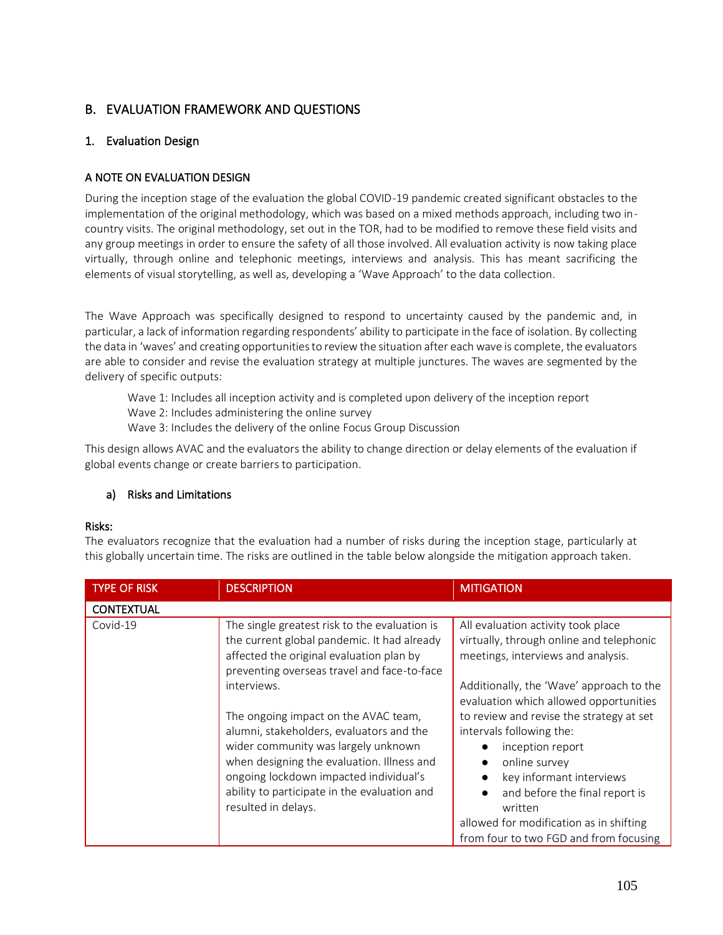# B. EVALUATION FRAMEWORK AND QUESTIONS

## 1. Evaluation Design

## A NOTE ON EVALUATION DESIGN

During the inception stage of the evaluation the global COVID-19 pandemic created significant obstacles to the implementation of the original methodology, which was based on a mixed methods approach, including two incountry visits. The original methodology, set out in the TOR, had to be modified to remove these field visits and any group meetings in order to ensure the safety of all those involved. All evaluation activity is now taking place virtually, through online and telephonic meetings, interviews and analysis. This has meant sacrificing the elements of visual storytelling, as well as, developing a 'Wave Approach' to the data collection.

The Wave Approach was specifically designed to respond to uncertainty caused by the pandemic and, in particular, a lack of information regarding respondents' ability to participate in the face of isolation. By collecting the data in 'waves' and creating opportunities to review the situation after each wave is complete, the evaluators are able to consider and revise the evaluation strategy at multiple junctures. The waves are segmented by the delivery of specific outputs:

Wave 1: Includes all inception activity and is completed upon delivery of the inception report Wave 2: Includes administering the online survey Wave 3: Includes the delivery of the online Focus Group Discussion

This design allows AVAC and the evaluators the ability to change direction or delay elements of the evaluation if global events change or create barriers to participation.

## a) Risks and Limitations

## Risks:

The evaluators recognize that the evaluation had a number of risks during the inception stage, particularly at this globally uncertain time. The risks are outlined in the table below alongside the mitigation approach taken.

| <b>TYPE OF RISK</b> | <b>DESCRIPTION</b>                                                                                                                                                                                                                                                                     | <b>MITIGATION</b>                                                                                                                                                                                                             |
|---------------------|----------------------------------------------------------------------------------------------------------------------------------------------------------------------------------------------------------------------------------------------------------------------------------------|-------------------------------------------------------------------------------------------------------------------------------------------------------------------------------------------------------------------------------|
| <b>CONTEXTUAL</b>   |                                                                                                                                                                                                                                                                                        |                                                                                                                                                                                                                               |
| Covid-19            | The single greatest risk to the evaluation is<br>the current global pandemic. It had already<br>affected the original evaluation plan by<br>preventing overseas travel and face-to-face                                                                                                | All evaluation activity took place<br>virtually, through online and telephonic<br>meetings, interviews and analysis.                                                                                                          |
|                     | interviews.                                                                                                                                                                                                                                                                            | Additionally, the 'Wave' approach to the<br>evaluation which allowed opportunities                                                                                                                                            |
|                     | The ongoing impact on the AVAC team,<br>alumni, stakeholders, evaluators and the<br>wider community was largely unknown<br>when designing the evaluation. Illness and<br>ongoing lockdown impacted individual's<br>ability to participate in the evaluation and<br>resulted in delays. | to review and revise the strategy at set<br>intervals following the:<br>inception report<br>online survey<br>key informant interviews<br>and before the final report is<br>written<br>allowed for modification as in shifting |
|                     |                                                                                                                                                                                                                                                                                        | from four to two FGD and from focusing                                                                                                                                                                                        |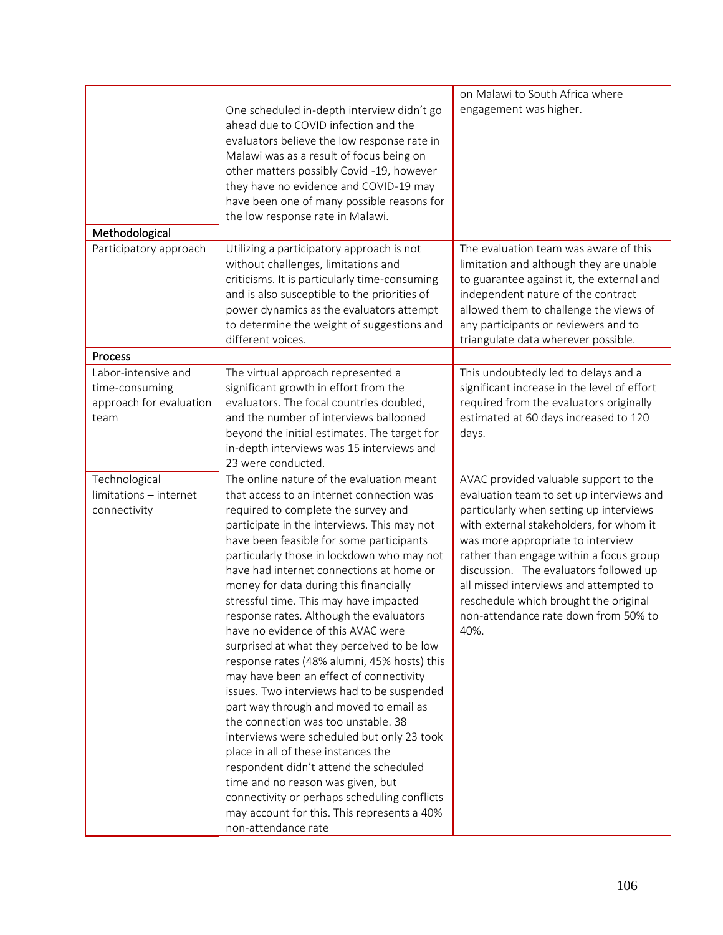|                         |                                                                                        | on Malawi to South Africa where              |
|-------------------------|----------------------------------------------------------------------------------------|----------------------------------------------|
|                         | One scheduled in-depth interview didn't go                                             | engagement was higher.                       |
|                         | ahead due to COVID infection and the                                                   |                                              |
|                         | evaluators believe the low response rate in                                            |                                              |
|                         | Malawi was as a result of focus being on                                               |                                              |
|                         | other matters possibly Covid -19, however                                              |                                              |
|                         | they have no evidence and COVID-19 may                                                 |                                              |
|                         | have been one of many possible reasons for                                             |                                              |
|                         | the low response rate in Malawi.                                                       |                                              |
| Methodological          |                                                                                        |                                              |
| Participatory approach  | Utilizing a participatory approach is not                                              | The evaluation team was aware of this        |
|                         | without challenges, limitations and                                                    | limitation and although they are unable      |
|                         | criticisms. It is particularly time-consuming                                          | to guarantee against it, the external and    |
|                         | and is also susceptible to the priorities of                                           | independent nature of the contract           |
|                         | power dynamics as the evaluators attempt                                               | allowed them to challenge the views of       |
|                         | to determine the weight of suggestions and                                             | any participants or reviewers and to         |
|                         | different voices.                                                                      | triangulate data wherever possible.          |
| Process                 |                                                                                        |                                              |
| Labor-intensive and     | The virtual approach represented a                                                     | This undoubtedly led to delays and a         |
| time-consuming          | significant growth in effort from the                                                  | significant increase in the level of effort  |
| approach for evaluation | evaluators. The focal countries doubled,                                               | required from the evaluators originally      |
| team                    | and the number of interviews ballooned                                                 | estimated at 60 days increased to 120        |
|                         | beyond the initial estimates. The target for                                           | days.                                        |
|                         | in-depth interviews was 15 interviews and                                              |                                              |
|                         | 23 were conducted.                                                                     |                                              |
| Technological           | The online nature of the evaluation meant                                              | AVAC provided valuable support to the        |
| limitations - internet  | that access to an internet connection was                                              | evaluation team to set up interviews and     |
| connectivity            | required to complete the survey and                                                    | particularly when setting up interviews      |
|                         | participate in the interviews. This may not                                            | with external stakeholders, for whom it      |
|                         | have been feasible for some participants                                               | was more appropriate to interview            |
|                         | particularly those in lockdown who may not<br>have had internet connections at home or | rather than engage within a focus group      |
|                         |                                                                                        | discussion. The evaluators followed up       |
|                         | money for data during this financially                                                 | all missed interviews and attempted to       |
|                         | stressful time. This may have impacted<br>response rates. Although the evaluators      | reschedule which brought the original        |
|                         | have no evidence of this AVAC were                                                     | non-attendance rate down from 50% to<br>40%. |
|                         | surprised at what they perceived to be low                                             |                                              |
|                         | response rates (48% alumni, 45% hosts) this                                            |                                              |
|                         | may have been an effect of connectivity                                                |                                              |
|                         | issues. Two interviews had to be suspended                                             |                                              |
|                         | part way through and moved to email as                                                 |                                              |
|                         | the connection was too unstable. 38                                                    |                                              |
|                         | interviews were scheduled but only 23 took                                             |                                              |
|                         | place in all of these instances the                                                    |                                              |
|                         | respondent didn't attend the scheduled                                                 |                                              |
|                         | time and no reason was given, but                                                      |                                              |
|                         | connectivity or perhaps scheduling conflicts                                           |                                              |
|                         | may account for this. This represents a 40%                                            |                                              |
|                         | non-attendance rate                                                                    |                                              |
|                         |                                                                                        |                                              |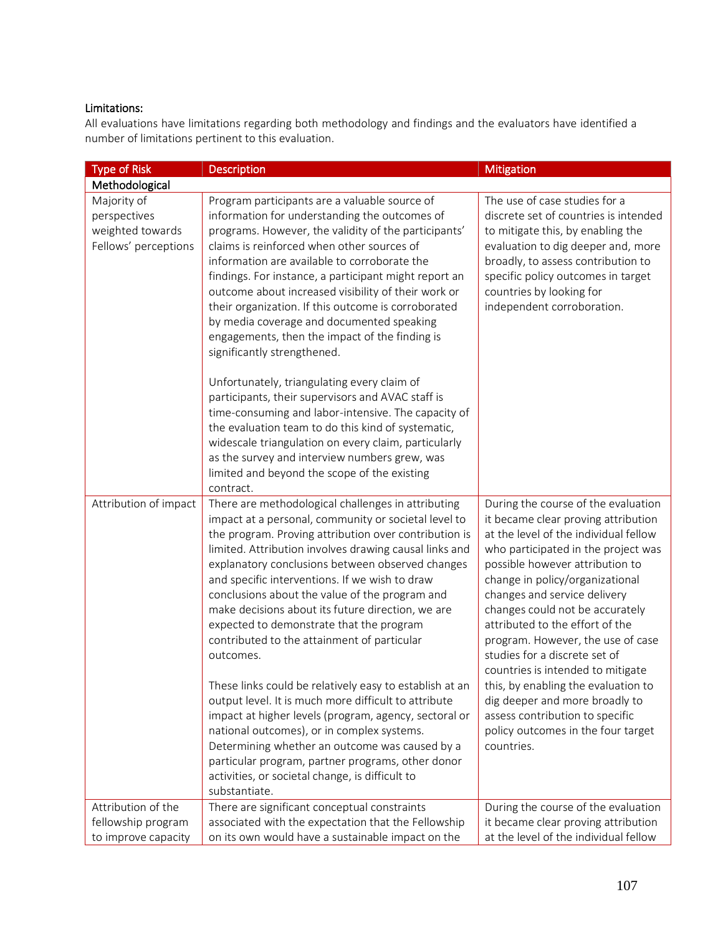## Limitations:

All evaluations have limitations regarding both methodology and findings and the evaluators have identified a number of limitations pertinent to this evaluation.

| <b>Type of Risk</b>                                                     | <b>Description</b>                                                                                                                                                                                                                                                                                                                                                                                                                                                                                                                                        | <b>Mitigation</b>                                                                                                                                                                                                                                                                                                                                                                                                                                 |
|-------------------------------------------------------------------------|-----------------------------------------------------------------------------------------------------------------------------------------------------------------------------------------------------------------------------------------------------------------------------------------------------------------------------------------------------------------------------------------------------------------------------------------------------------------------------------------------------------------------------------------------------------|---------------------------------------------------------------------------------------------------------------------------------------------------------------------------------------------------------------------------------------------------------------------------------------------------------------------------------------------------------------------------------------------------------------------------------------------------|
| Methodological                                                          |                                                                                                                                                                                                                                                                                                                                                                                                                                                                                                                                                           |                                                                                                                                                                                                                                                                                                                                                                                                                                                   |
| Majority of<br>perspectives<br>weighted towards<br>Fellows' perceptions | Program participants are a valuable source of<br>information for understanding the outcomes of<br>programs. However, the validity of the participants'<br>claims is reinforced when other sources of<br>information are available to corroborate the<br>findings. For instance, a participant might report an<br>outcome about increased visibility of their work or<br>their organization. If this outcome is corroborated<br>by media coverage and documented speaking<br>engagements, then the impact of the finding is<br>significantly strengthened. | The use of case studies for a<br>discrete set of countries is intended<br>to mitigate this, by enabling the<br>evaluation to dig deeper and, more<br>broadly, to assess contribution to<br>specific policy outcomes in target<br>countries by looking for<br>independent corroboration.                                                                                                                                                           |
|                                                                         | Unfortunately, triangulating every claim of<br>participants, their supervisors and AVAC staff is<br>time-consuming and labor-intensive. The capacity of<br>the evaluation team to do this kind of systematic,<br>widescale triangulation on every claim, particularly<br>as the survey and interview numbers grew, was<br>limited and beyond the scope of the existing<br>contract.                                                                                                                                                                       |                                                                                                                                                                                                                                                                                                                                                                                                                                                   |
| Attribution of impact                                                   | There are methodological challenges in attributing<br>impact at a personal, community or societal level to<br>the program. Proving attribution over contribution is<br>limited. Attribution involves drawing causal links and<br>explanatory conclusions between observed changes<br>and specific interventions. If we wish to draw<br>conclusions about the value of the program and<br>make decisions about its future direction, we are<br>expected to demonstrate that the program<br>contributed to the attainment of particular<br>outcomes.        | During the course of the evaluation<br>it became clear proving attribution<br>at the level of the individual fellow<br>who participated in the project was<br>possible however attribution to<br>change in policy/organizational<br>changes and service delivery<br>changes could not be accurately<br>attributed to the effort of the<br>program. However, the use of case<br>studies for a discrete set of<br>countries is intended to mitigate |
|                                                                         | These links could be relatively easy to establish at an<br>output level. It is much more difficult to attribute<br>impact at higher levels (program, agency, sectoral or<br>national outcomes), or in complex systems.<br>Determining whether an outcome was caused by a<br>particular program, partner programs, other donor<br>activities, or societal change, is difficult to<br>substantiate.                                                                                                                                                         | this, by enabling the evaluation to<br>dig deeper and more broadly to<br>assess contribution to specific<br>policy outcomes in the four target<br>countries.                                                                                                                                                                                                                                                                                      |
| Attribution of the<br>fellowship program<br>to improve capacity         | There are significant conceptual constraints<br>associated with the expectation that the Fellowship<br>on its own would have a sustainable impact on the                                                                                                                                                                                                                                                                                                                                                                                                  | During the course of the evaluation<br>it became clear proving attribution<br>at the level of the individual fellow                                                                                                                                                                                                                                                                                                                               |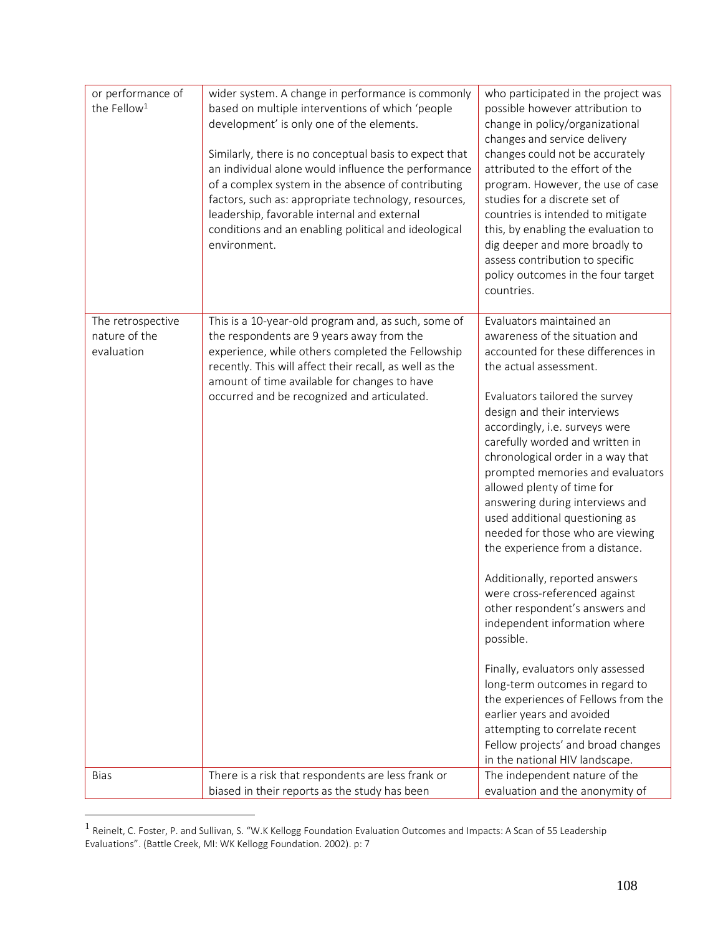| or performance of<br>the Fellow <sup>1</sup>     | wider system. A change in performance is commonly<br>based on multiple interventions of which 'people<br>development' is only one of the elements.<br>Similarly, there is no conceptual basis to expect that<br>an individual alone would influence the performance<br>of a complex system in the absence of contributing<br>factors, such as: appropriate technology, resources,<br>leadership, favorable internal and external<br>conditions and an enabling political and ideological<br>environment. | who participated in the project was<br>possible however attribution to<br>change in policy/organizational<br>changes and service delivery<br>changes could not be accurately<br>attributed to the effort of the<br>program. However, the use of case<br>studies for a discrete set of<br>countries is intended to mitigate<br>this, by enabling the evaluation to<br>dig deeper and more broadly to<br>assess contribution to specific<br>policy outcomes in the four target<br>countries.                                                                                                                                                                                                                                                                                                                                                                                                                                   |
|--------------------------------------------------|----------------------------------------------------------------------------------------------------------------------------------------------------------------------------------------------------------------------------------------------------------------------------------------------------------------------------------------------------------------------------------------------------------------------------------------------------------------------------------------------------------|------------------------------------------------------------------------------------------------------------------------------------------------------------------------------------------------------------------------------------------------------------------------------------------------------------------------------------------------------------------------------------------------------------------------------------------------------------------------------------------------------------------------------------------------------------------------------------------------------------------------------------------------------------------------------------------------------------------------------------------------------------------------------------------------------------------------------------------------------------------------------------------------------------------------------|
| The retrospective<br>nature of the<br>evaluation | This is a 10-year-old program and, as such, some of<br>the respondents are 9 years away from the<br>experience, while others completed the Fellowship<br>recently. This will affect their recall, as well as the<br>amount of time available for changes to have<br>occurred and be recognized and articulated.                                                                                                                                                                                          | Evaluators maintained an<br>awareness of the situation and<br>accounted for these differences in<br>the actual assessment.<br>Evaluators tailored the survey<br>design and their interviews<br>accordingly, i.e. surveys were<br>carefully worded and written in<br>chronological order in a way that<br>prompted memories and evaluators<br>allowed plenty of time for<br>answering during interviews and<br>used additional questioning as<br>needed for those who are viewing<br>the experience from a distance.<br>Additionally, reported answers<br>were cross-referenced against<br>other respondent's answers and<br>independent information where<br>possible.<br>Finally, evaluators only assessed<br>long-term outcomes in regard to<br>the experiences of Fellows from the<br>earlier years and avoided<br>attempting to correlate recent<br>Fellow projects' and broad changes<br>in the national HIV landscape. |
| <b>Bias</b>                                      | There is a risk that respondents are less frank or<br>biased in their reports as the study has been                                                                                                                                                                                                                                                                                                                                                                                                      | The independent nature of the<br>evaluation and the anonymity of                                                                                                                                                                                                                                                                                                                                                                                                                                                                                                                                                                                                                                                                                                                                                                                                                                                             |

<sup>&</sup>lt;sup>1</sup> Reinelt, C. Foster, P. and Sullivan, S. "W.K Kellogg Foundation Evaluation Outcomes and Impacts: A Scan of 55 Leadership Evaluations". (Battle Creek, MI: WK Kellogg Foundation. 2002). p: 7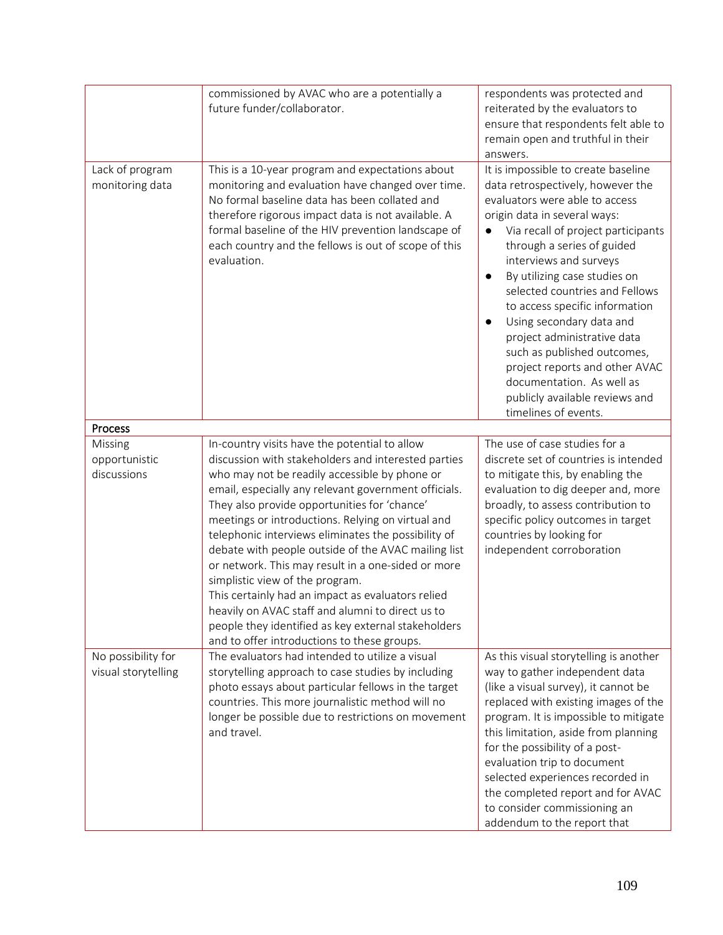|                                           | commissioned by AVAC who are a potentially a<br>future funder/collaborator.                                                                                                                                                                                                                                                                                                                                                                                                                                                                                                                                                                                                                                                              | respondents was protected and<br>reiterated by the evaluators to<br>ensure that respondents felt able to<br>remain open and truthful in their                                                                                                                                                                                                                                                                                                                                                                                                                                                         |
|-------------------------------------------|------------------------------------------------------------------------------------------------------------------------------------------------------------------------------------------------------------------------------------------------------------------------------------------------------------------------------------------------------------------------------------------------------------------------------------------------------------------------------------------------------------------------------------------------------------------------------------------------------------------------------------------------------------------------------------------------------------------------------------------|-------------------------------------------------------------------------------------------------------------------------------------------------------------------------------------------------------------------------------------------------------------------------------------------------------------------------------------------------------------------------------------------------------------------------------------------------------------------------------------------------------------------------------------------------------------------------------------------------------|
| Lack of program<br>monitoring data        | This is a 10-year program and expectations about<br>monitoring and evaluation have changed over time.<br>No formal baseline data has been collated and<br>therefore rigorous impact data is not available. A<br>formal baseline of the HIV prevention landscape of<br>each country and the fellows is out of scope of this<br>evaluation.                                                                                                                                                                                                                                                                                                                                                                                                | answers.<br>It is impossible to create baseline<br>data retrospectively, however the<br>evaluators were able to access<br>origin data in several ways:<br>Via recall of project participants<br>through a series of guided<br>interviews and surveys<br>By utilizing case studies on<br>$\bullet$<br>selected countries and Fellows<br>to access specific information<br>Using secondary data and<br>$\bullet$<br>project administrative data<br>such as published outcomes,<br>project reports and other AVAC<br>documentation. As well as<br>publicly available reviews and<br>timelines of events. |
| Process                                   |                                                                                                                                                                                                                                                                                                                                                                                                                                                                                                                                                                                                                                                                                                                                          |                                                                                                                                                                                                                                                                                                                                                                                                                                                                                                                                                                                                       |
| Missing<br>opportunistic<br>discussions   | In-country visits have the potential to allow<br>discussion with stakeholders and interested parties<br>who may not be readily accessible by phone or<br>email, especially any relevant government officials.<br>They also provide opportunities for 'chance'<br>meetings or introductions. Relying on virtual and<br>telephonic interviews eliminates the possibility of<br>debate with people outside of the AVAC mailing list<br>or network. This may result in a one-sided or more<br>simplistic view of the program.<br>This certainly had an impact as evaluators relied<br>heavily on AVAC staff and alumni to direct us to<br>people they identified as key external stakeholders<br>and to offer introductions to these groups. | The use of case studies for a<br>discrete set of countries is intended<br>to mitigate this, by enabling the<br>evaluation to dig deeper and, more<br>broadly, to assess contribution to<br>specific policy outcomes in target<br>countries by looking for<br>independent corroboration                                                                                                                                                                                                                                                                                                                |
| No possibility for<br>visual storytelling | The evaluators had intended to utilize a visual<br>storytelling approach to case studies by including<br>photo essays about particular fellows in the target<br>countries. This more journalistic method will no<br>longer be possible due to restrictions on movement<br>and travel.                                                                                                                                                                                                                                                                                                                                                                                                                                                    | As this visual storytelling is another<br>way to gather independent data<br>(like a visual survey), it cannot be<br>replaced with existing images of the<br>program. It is impossible to mitigate<br>this limitation, aside from planning<br>for the possibility of a post-<br>evaluation trip to document<br>selected experiences recorded in<br>the completed report and for AVAC<br>to consider commissioning an<br>addendum to the report that                                                                                                                                                    |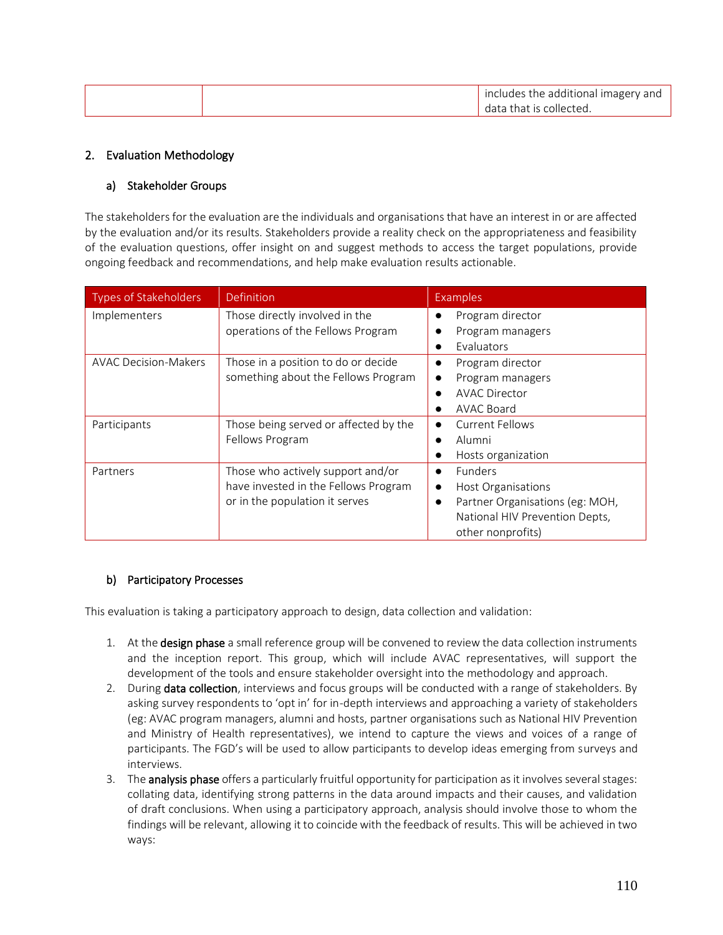|  | includes the additional imagery and |
|--|-------------------------------------|
|  | data that is collected.             |

## 2. Evaluation Methodology

## a) Stakeholder Groups

The stakeholders for the evaluation are the individuals and organisations that have an interest in or are affected by the evaluation and/or its results. Stakeholders provide a reality check on the appropriateness and feasibility of the evaluation questions, offer insight on and suggest methods to access the target populations, provide ongoing feedback and recommendations, and help make evaluation results actionable.

| <b>Types of Stakeholders</b> | Definition                            | <b>Examples</b>                 |
|------------------------------|---------------------------------------|---------------------------------|
| Implementers                 | Those directly involved in the        | Program director                |
|                              | operations of the Fellows Program     | Program managers                |
|                              |                                       | Evaluators                      |
| <b>AVAC Decision-Makers</b>  | Those in a position to do or decide   | Program director                |
|                              | something about the Fellows Program   | Program managers                |
|                              |                                       | AVAC Director                   |
|                              |                                       | AVAC Board                      |
| Participants                 | Those being served or affected by the | <b>Current Fellows</b>          |
|                              | Fellows Program                       | Alumni                          |
|                              |                                       | Hosts organization              |
| Partners                     | Those who actively support and/or     | <b>Funders</b><br>$\bullet$     |
|                              | have invested in the Fellows Program  | Host Organisations              |
|                              | or in the population it serves        | Partner Organisations (eg: MOH, |
|                              |                                       | National HIV Prevention Depts,  |
|                              |                                       | other nonprofits)               |

## b) Participatory Processes

This evaluation is taking a participatory approach to design, data collection and validation:

- 1. At the design phase a small reference group will be convened to review the data collection instruments and the inception report. This group, which will include AVAC representatives, will support the development of the tools and ensure stakeholder oversight into the methodology and approach.
- 2. During data collection, interviews and focus groups will be conducted with a range of stakeholders. By asking survey respondents to 'opt in' for in-depth interviews and approaching a variety of stakeholders (eg: AVAC program managers, alumni and hosts, partner organisations such as National HIV Prevention and Ministry of Health representatives), we intend to capture the views and voices of a range of participants. The FGD's will be used to allow participants to develop ideas emerging from surveys and interviews.
- 3. The **analysis phase** offers a particularly fruitful opportunity for participation as it involves several stages: collating data, identifying strong patterns in the data around impacts and their causes, and validation of draft conclusions. When using a participatory approach, analysis should involve those to whom the findings will be relevant, allowing it to coincide with the feedback of results. This will be achieved in two ways: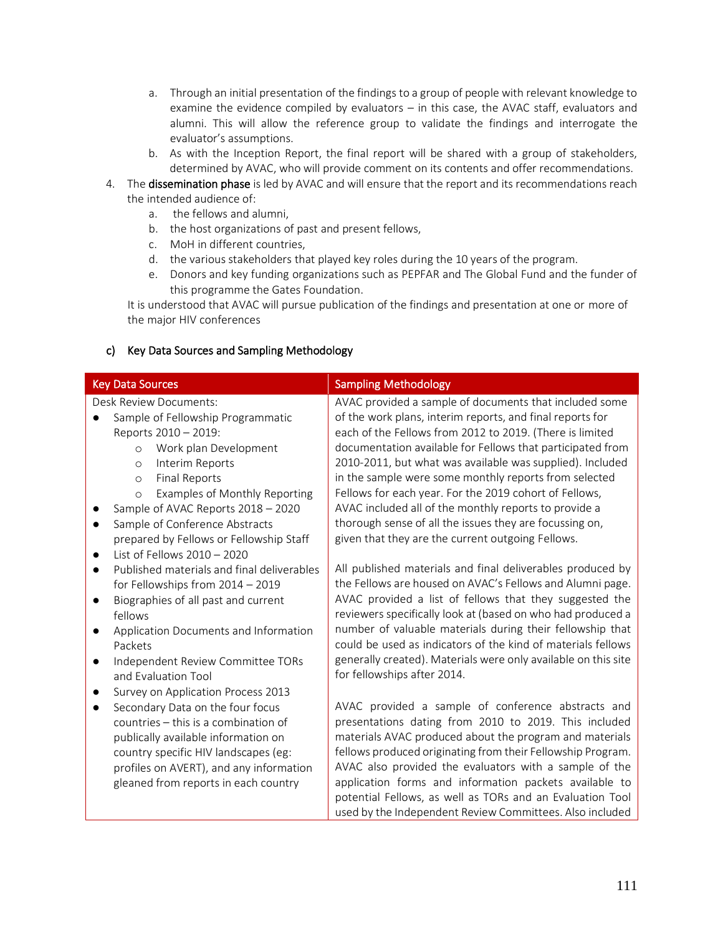- a. Through an initial presentation of the findings to a group of people with relevant knowledge to examine the evidence compiled by evaluators – in this case, the AVAC staff, evaluators and alumni. This will allow the reference group to validate the findings and interrogate the evaluator's assumptions.
- b. As with the Inception Report, the final report will be shared with a group of stakeholders, determined by AVAC, who will provide comment on its contents and offer recommendations.
- 4. The dissemination phase is led by AVAC and will ensure that the report and its recommendations reach the intended audience of:
	- a. the fellows and alumni,
	- b. the host organizations of past and present fellows,
	- c. MoH in different countries,
	- d. the various stakeholders that played key roles during the 10 years of the program.
	- e. Donors and key funding organizations such as PEPFAR and The Global Fund and the funder of this programme the Gates Foundation.

It is understood that AVAC will pursue publication of the findings and presentation at one or more of the major HIV conferences

| <b>Key Data Sources</b>                                                                                                                                                                                                                                                                                                                                                     | <b>Sampling Methodology</b>                                                                                                                                                                                                                                                                                                                                                                                                                                                                                                                                                                            |
|-----------------------------------------------------------------------------------------------------------------------------------------------------------------------------------------------------------------------------------------------------------------------------------------------------------------------------------------------------------------------------|--------------------------------------------------------------------------------------------------------------------------------------------------------------------------------------------------------------------------------------------------------------------------------------------------------------------------------------------------------------------------------------------------------------------------------------------------------------------------------------------------------------------------------------------------------------------------------------------------------|
| <b>Desk Review Documents:</b><br>Sample of Fellowship Programmatic<br>Reports 2010 - 2019:<br>Work plan Development<br>$\circ$<br>Interim Reports<br>$\circ$<br><b>Final Reports</b><br>$\circ$<br>Examples of Monthly Reporting<br>$\circ$<br>Sample of AVAC Reports 2018 - 2020<br>Sample of Conference Abstracts<br>$\bullet$<br>prepared by Fellows or Fellowship Staff | AVAC provided a sample of documents that included some<br>of the work plans, interim reports, and final reports for<br>each of the Fellows from 2012 to 2019. (There is limited<br>documentation available for Fellows that participated from<br>2010-2011, but what was available was supplied). Included<br>in the sample were some monthly reports from selected<br>Fellows for each year. For the 2019 cohort of Fellows,<br>AVAC included all of the monthly reports to provide a<br>thorough sense of all the issues they are focussing on,<br>given that they are the current outgoing Fellows. |
| List of Fellows $2010 - 2020$<br>$\bullet$<br>Published materials and final deliverables<br>$\bullet$<br>for Fellowships from 2014 - 2019<br>Biographies of all past and current<br>$\bullet$<br>fellows<br>Application Documents and Information<br>$\bullet$<br>Packets<br>Independent Review Committee TORs<br>$\bullet$<br>and Evaluation Tool                          | All published materials and final deliverables produced by<br>the Fellows are housed on AVAC's Fellows and Alumni page.<br>AVAC provided a list of fellows that they suggested the<br>reviewers specifically look at (based on who had produced a<br>number of valuable materials during their fellowship that<br>could be used as indicators of the kind of materials fellows<br>generally created). Materials were only available on this site<br>for fellowships after 2014.                                                                                                                        |
| Survey on Application Process 2013<br>$\bullet$<br>Secondary Data on the four focus<br>$\bullet$<br>countries - this is a combination of<br>publically available information on<br>country specific HIV landscapes (eg:<br>profiles on AVERT), and any information<br>gleaned from reports in each country                                                                  | AVAC provided a sample of conference abstracts and<br>presentations dating from 2010 to 2019. This included<br>materials AVAC produced about the program and materials<br>fellows produced originating from their Fellowship Program.<br>AVAC also provided the evaluators with a sample of the<br>application forms and information packets available to<br>potential Fellows, as well as TORs and an Evaluation Tool<br>used by the Independent Review Committees. Also included                                                                                                                     |

## c) Key Data Sources and Sampling Methodology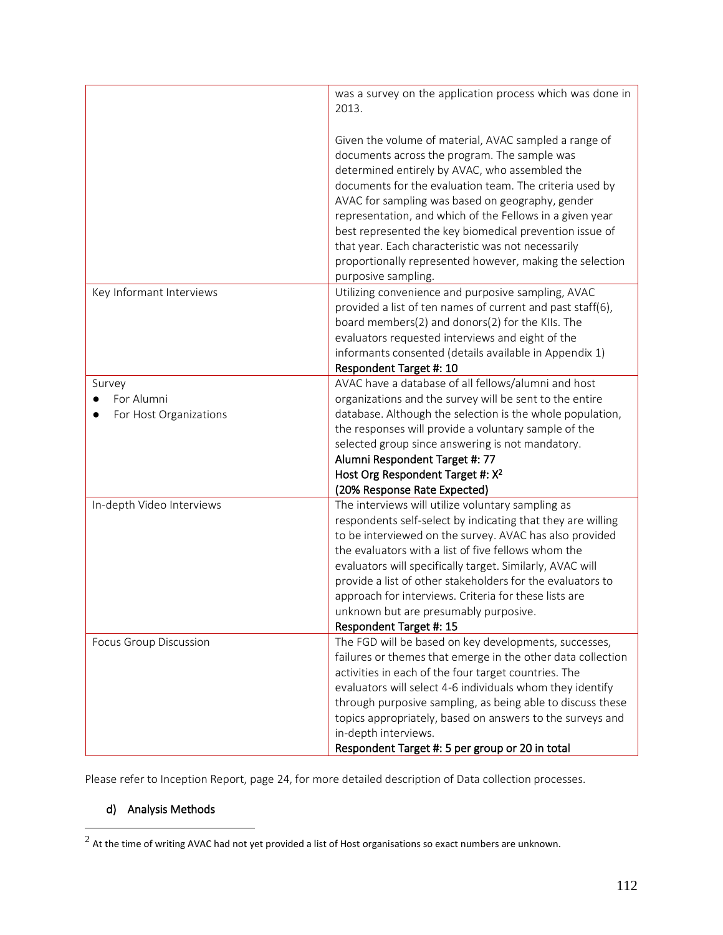|                                                | was a survey on the application process which was done in<br>2013.                                                                                                                                                                                                                                                                                                                                                                                                                                                                     |
|------------------------------------------------|----------------------------------------------------------------------------------------------------------------------------------------------------------------------------------------------------------------------------------------------------------------------------------------------------------------------------------------------------------------------------------------------------------------------------------------------------------------------------------------------------------------------------------------|
|                                                | Given the volume of material, AVAC sampled a range of<br>documents across the program. The sample was<br>determined entirely by AVAC, who assembled the<br>documents for the evaluation team. The criteria used by<br>AVAC for sampling was based on geography, gender<br>representation, and which of the Fellows in a given year<br>best represented the key biomedical prevention issue of<br>that year. Each characteristic was not necessarily<br>proportionally represented however, making the selection<br>purposive sampling. |
| Key Informant Interviews                       | Utilizing convenience and purposive sampling, AVAC<br>provided a list of ten names of current and past staff(6),<br>board members(2) and donors(2) for the KIIs. The<br>evaluators requested interviews and eight of the<br>informants consented (details available in Appendix 1)<br>Respondent Target #: 10                                                                                                                                                                                                                          |
| Survey<br>For Alumni<br>For Host Organizations | AVAC have a database of all fellows/alumni and host<br>organizations and the survey will be sent to the entire<br>database. Although the selection is the whole population,<br>the responses will provide a voluntary sample of the<br>selected group since answering is not mandatory.<br>Alumni Respondent Target #: 77<br>Host Org Respondent Target #: X <sup>2</sup><br>(20% Response Rate Expected)                                                                                                                              |
| In-depth Video Interviews                      | The interviews will utilize voluntary sampling as<br>respondents self-select by indicating that they are willing<br>to be interviewed on the survey. AVAC has also provided<br>the evaluators with a list of five fellows whom the<br>evaluators will specifically target. Similarly, AVAC will<br>provide a list of other stakeholders for the evaluators to<br>approach for interviews. Criteria for these lists are<br>unknown but are presumably purposive.<br>Respondent Target #: 15                                             |
| <b>Focus Group Discussion</b>                  | The FGD will be based on key developments, successes,<br>failures or themes that emerge in the other data collection<br>activities in each of the four target countries. The<br>evaluators will select 4-6 individuals whom they identify<br>through purposive sampling, as being able to discuss these<br>topics appropriately, based on answers to the surveys and<br>in-depth interviews.<br>Respondent Target #: 5 per group or 20 in total                                                                                        |

Please refer to Inception Report, page 24, for more detailed description of Data collection processes.

# d) Analysis Methods

 $^2$  At the time of writing AVAC had not yet provided a list of Host organisations so exact numbers are unknown.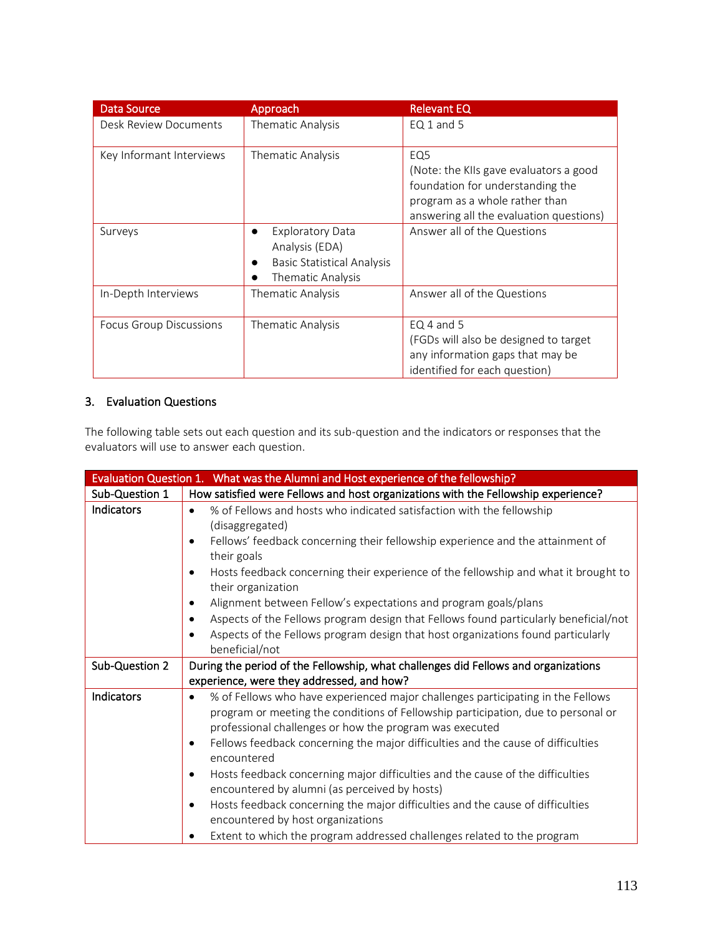| <b>Data Source</b>             | Approach                                                                                                         | <b>Relevant EQ</b>                                                                                                                                                         |
|--------------------------------|------------------------------------------------------------------------------------------------------------------|----------------------------------------------------------------------------------------------------------------------------------------------------------------------------|
| Desk Review Documents          | Thematic Analysis                                                                                                | $EQ1$ and 5                                                                                                                                                                |
| Key Informant Interviews       | Thematic Analysis                                                                                                | EQ <sub>5</sub><br>(Note: the KIIs gave evaluators a good<br>foundation for understanding the<br>program as a whole rather than<br>answering all the evaluation questions) |
| Surveys                        | <b>Exploratory Data</b><br>$\bullet$<br>Analysis (EDA)<br><b>Basic Statistical Analysis</b><br>Thematic Analysis | Answer all of the Questions                                                                                                                                                |
| In-Depth Interviews            | Thematic Analysis                                                                                                | Answer all of the Questions                                                                                                                                                |
| <b>Focus Group Discussions</b> | Thematic Analysis                                                                                                | $EQ$ 4 and 5<br>(FGDs will also be designed to target<br>any information gaps that may be<br>identified for each question)                                                 |

## 3. Evaluation Questions

The following table sets out each question and its sub-question and the indicators or responses that the evaluators will use to answer each question.

|                | Evaluation Question 1. What was the Alumni and Host experience of the fellowship?                                                                                                                                                            |
|----------------|----------------------------------------------------------------------------------------------------------------------------------------------------------------------------------------------------------------------------------------------|
| Sub-Question 1 | How satisfied were Fellows and host organizations with the Fellowship experience?                                                                                                                                                            |
| Indicators     | % of Fellows and hosts who indicated satisfaction with the fellowship<br>$\bullet$<br>(disaggregated)<br>Fellows' feedback concerning their fellowship experience and the attainment of<br>$\bullet$<br>their goals                          |
|                | Hosts feedback concerning their experience of the fellowship and what it brought to<br>$\bullet$<br>their organization                                                                                                                       |
|                | Alignment between Fellow's expectations and program goals/plans<br>$\bullet$                                                                                                                                                                 |
|                | Aspects of the Fellows program design that Fellows found particularly beneficial/not<br>٠                                                                                                                                                    |
|                | Aspects of the Fellows program design that host organizations found particularly<br>٠<br>beneficial/not                                                                                                                                      |
| Sub-Question 2 | During the period of the Fellowship, what challenges did Fellows and organizations                                                                                                                                                           |
|                | experience, were they addressed, and how?                                                                                                                                                                                                    |
| Indicators     | % of Fellows who have experienced major challenges participating in the Fellows<br>$\bullet$<br>program or meeting the conditions of Fellowship participation, due to personal or<br>professional challenges or how the program was executed |
|                | Fellows feedback concerning the major difficulties and the cause of difficulties<br>$\bullet$<br>encountered                                                                                                                                 |
|                | Hosts feedback concerning major difficulties and the cause of the difficulties<br>$\bullet$<br>encountered by alumni (as perceived by hosts)                                                                                                 |
|                | Hosts feedback concerning the major difficulties and the cause of difficulties<br>$\bullet$<br>encountered by host organizations                                                                                                             |
|                | Extent to which the program addressed challenges related to the program                                                                                                                                                                      |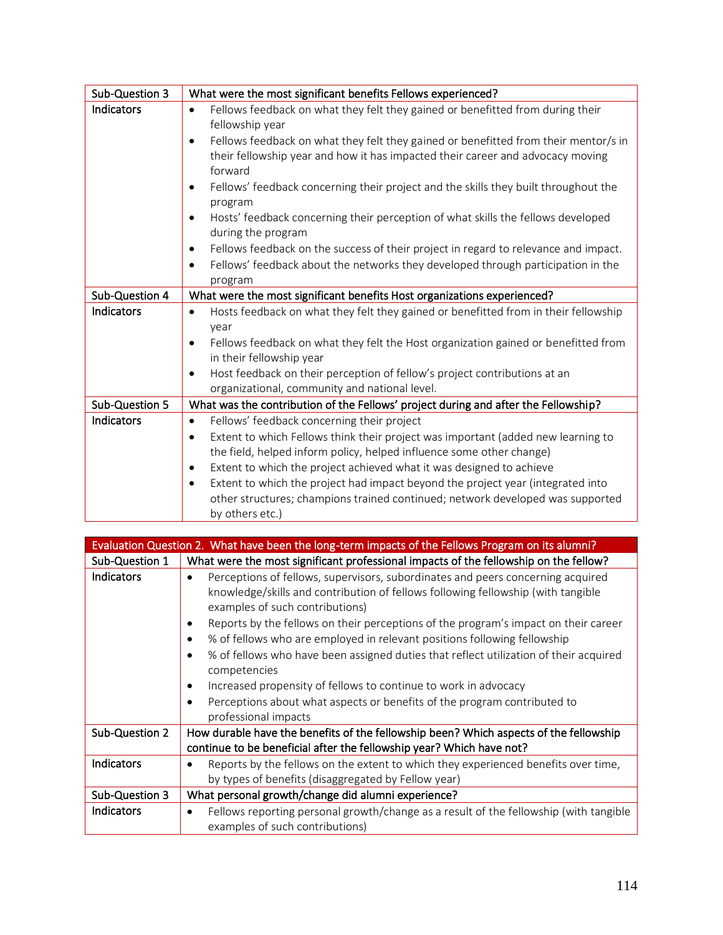| Sub-Question 3 | What were the most significant benefits Fellows experienced?                                                                                                                                                 |
|----------------|--------------------------------------------------------------------------------------------------------------------------------------------------------------------------------------------------------------|
| Indicators     | Fellows feedback on what they felt they gained or benefitted from during their<br>$\bullet$<br>fellowship year                                                                                               |
|                | Fellows feedback on what they felt they gained or benefitted from their mentor/s in<br>$\bullet$<br>their fellowship year and how it has impacted their career and advocacy moving<br>forward                |
|                | Fellows' feedback concerning their project and the skills they built throughout the<br>$\bullet$<br>program                                                                                                  |
|                | Hosts' feedback concerning their perception of what skills the fellows developed<br>$\bullet$<br>during the program                                                                                          |
|                | Fellows feedback on the success of their project in regard to relevance and impact.<br>$\bullet$<br>Fellows' feedback about the networks they developed through participation in the<br>$\bullet$<br>program |
| Sub-Question 4 | What were the most significant benefits Host organizations experienced?                                                                                                                                      |
| Indicators     | Hosts feedback on what they felt they gained or benefitted from in their fellowship<br>$\bullet$<br>year<br>Fellows feedback on what they felt the Host organization gained or benefitted from<br>$\bullet$  |
|                | in their fellowship year                                                                                                                                                                                     |
|                | Host feedback on their perception of fellow's project contributions at an<br>organizational, community and national level.                                                                                   |
| Sub-Question 5 | What was the contribution of the Fellows' project during and after the Fellowship?                                                                                                                           |
| Indicators     | Fellows' feedback concerning their project<br>$\bullet$                                                                                                                                                      |
|                | Extent to which Fellows think their project was important (added new learning to<br>$\bullet$                                                                                                                |
|                | the field, helped inform policy, helped influence some other change)                                                                                                                                         |
|                | Extent to which the project achieved what it was designed to achieve<br>$\bullet$<br>Extent to which the project had impact beyond the project year (integrated into<br>$\bullet$                            |
|                | other structures; champions trained continued; network developed was supported<br>by others etc.)                                                                                                            |

|                   | Evaluation Question 2. What have been the long-term impacts of the Fellows Program on its alumni?                                                                                                                                                                                                                                                                                                                                                                                                                                                                                                                                                                                                |
|-------------------|--------------------------------------------------------------------------------------------------------------------------------------------------------------------------------------------------------------------------------------------------------------------------------------------------------------------------------------------------------------------------------------------------------------------------------------------------------------------------------------------------------------------------------------------------------------------------------------------------------------------------------------------------------------------------------------------------|
| Sub-Question 1    | What were the most significant professional impacts of the fellowship on the fellow?                                                                                                                                                                                                                                                                                                                                                                                                                                                                                                                                                                                                             |
| <b>Indicators</b> | Perceptions of fellows, supervisors, subordinates and peers concerning acquired<br>$\bullet$<br>knowledge/skills and contribution of fellows following fellowship (with tangible<br>examples of such contributions)<br>Reports by the fellows on their perceptions of the program's impact on their career<br>$\bullet$<br>% of fellows who are employed in relevant positions following fellowship<br>% of fellows who have been assigned duties that reflect utilization of their acquired<br>competencies<br>Increased propensity of fellows to continue to work in advocacy<br>$\bullet$<br>Perceptions about what aspects or benefits of the program contributed to<br>professional impacts |
| Sub-Question 2    | How durable have the benefits of the fellowship been? Which aspects of the fellowship                                                                                                                                                                                                                                                                                                                                                                                                                                                                                                                                                                                                            |
|                   | continue to be beneficial after the fellowship year? Which have not?                                                                                                                                                                                                                                                                                                                                                                                                                                                                                                                                                                                                                             |
| Indicators        | Reports by the fellows on the extent to which they experienced benefits over time,<br>$\bullet$                                                                                                                                                                                                                                                                                                                                                                                                                                                                                                                                                                                                  |
|                   | by types of benefits (disaggregated by Fellow year)                                                                                                                                                                                                                                                                                                                                                                                                                                                                                                                                                                                                                                              |
| Sub-Question 3    | What personal growth/change did alumni experience?                                                                                                                                                                                                                                                                                                                                                                                                                                                                                                                                                                                                                                               |
| <b>Indicators</b> | Fellows reporting personal growth/change as a result of the fellowship (with tangible<br>$\bullet$                                                                                                                                                                                                                                                                                                                                                                                                                                                                                                                                                                                               |
|                   | examples of such contributions)                                                                                                                                                                                                                                                                                                                                                                                                                                                                                                                                                                                                                                                                  |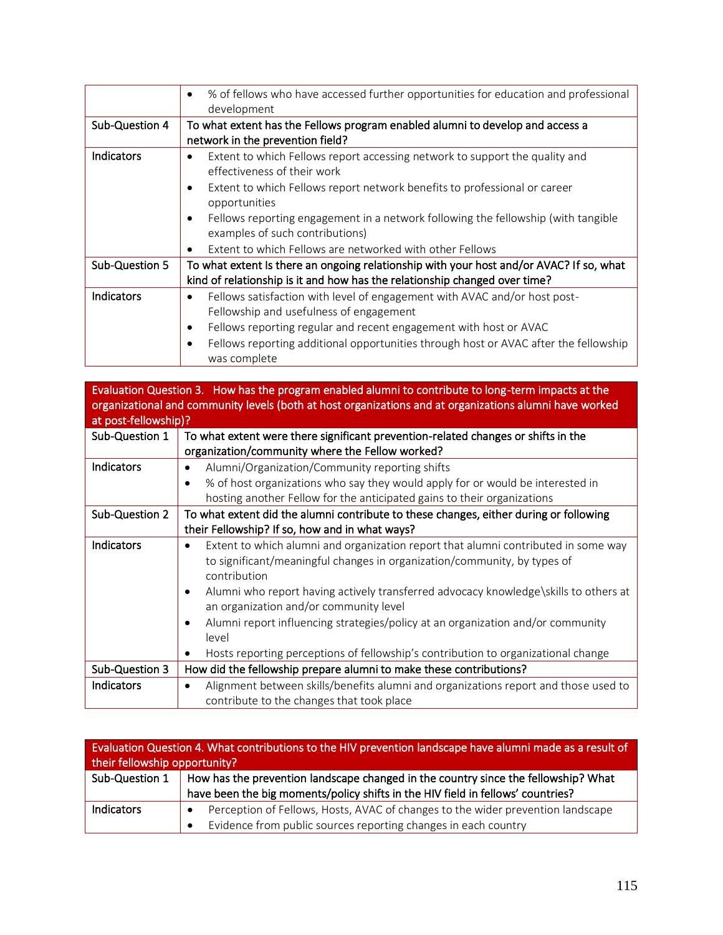|                | % of fellows who have accessed further opportunities for education and professional<br>development                                                                                                                                                                                                                                                                                                |
|----------------|---------------------------------------------------------------------------------------------------------------------------------------------------------------------------------------------------------------------------------------------------------------------------------------------------------------------------------------------------------------------------------------------------|
| Sub-Question 4 | To what extent has the Fellows program enabled alumni to develop and access a<br>network in the prevention field?                                                                                                                                                                                                                                                                                 |
| Indicators     | Extent to which Fellows report accessing network to support the quality and<br>٠<br>effectiveness of their work<br>Extent to which Fellows report network benefits to professional or career<br>opportunities<br>Fellows reporting engagement in a network following the fellowship (with tangible<br>examples of such contributions)<br>Extent to which Fellows are networked with other Fellows |
| Sub-Question 5 | To what extent Is there an ongoing relationship with your host and/or AVAC? If so, what<br>kind of relationship is it and how has the relationship changed over time?                                                                                                                                                                                                                             |
| Indicators     | Fellows satisfaction with level of engagement with AVAC and/or host post-<br>$\bullet$<br>Fellowship and usefulness of engagement<br>Fellows reporting regular and recent engagement with host or AVAC<br>٠<br>Fellows reporting additional opportunities through host or AVAC after the fellowship<br>was complete                                                                               |

| Evaluation Question 3. How has the program enabled alumni to contribute to long-term impacts at the<br>organizational and community levels (both at host organizations and at organizations alumni have worked |                                                                                                                                                                             |  |  |
|----------------------------------------------------------------------------------------------------------------------------------------------------------------------------------------------------------------|-----------------------------------------------------------------------------------------------------------------------------------------------------------------------------|--|--|
| at post-fellowship)?                                                                                                                                                                                           |                                                                                                                                                                             |  |  |
| Sub-Question 1                                                                                                                                                                                                 | To what extent were there significant prevention-related changes or shifts in the                                                                                           |  |  |
|                                                                                                                                                                                                                | organization/community where the Fellow worked?                                                                                                                             |  |  |
| Indicators                                                                                                                                                                                                     | Alumni/Organization/Community reporting shifts<br>$\bullet$                                                                                                                 |  |  |
|                                                                                                                                                                                                                | % of host organizations who say they would apply for or would be interested in                                                                                              |  |  |
|                                                                                                                                                                                                                | hosting another Fellow for the anticipated gains to their organizations                                                                                                     |  |  |
| Sub-Question 2                                                                                                                                                                                                 | To what extent did the alumni contribute to these changes, either during or following                                                                                       |  |  |
|                                                                                                                                                                                                                | their Fellowship? If so, how and in what ways?                                                                                                                              |  |  |
| Indicators                                                                                                                                                                                                     | Extent to which alumni and organization report that alumni contributed in some way<br>$\bullet$<br>to significant/meaningful changes in organization/community, by types of |  |  |
|                                                                                                                                                                                                                | contribution                                                                                                                                                                |  |  |
|                                                                                                                                                                                                                | Alumni who report having actively transferred advocacy knowledge\skills to others at<br>an organization and/or community level                                              |  |  |
|                                                                                                                                                                                                                | Alumni report influencing strategies/policy at an organization and/or community<br>level                                                                                    |  |  |
|                                                                                                                                                                                                                | Hosts reporting perceptions of fellowship's contribution to organizational change                                                                                           |  |  |
| Sub-Question 3                                                                                                                                                                                                 | How did the fellowship prepare alumni to make these contributions?                                                                                                          |  |  |
| <b>Indicators</b>                                                                                                                                                                                              | Alignment between skills/benefits alumni and organizations report and those used to<br>$\bullet$                                                                            |  |  |
|                                                                                                                                                                                                                | contribute to the changes that took place                                                                                                                                   |  |  |

| Evaluation Question 4. What contributions to the HIV prevention landscape have alumni made as a result of<br>their fellowship opportunity? |                                                                                    |  |
|--------------------------------------------------------------------------------------------------------------------------------------------|------------------------------------------------------------------------------------|--|
| Sub-Question 1                                                                                                                             | How has the prevention landscape changed in the country since the fellowship? What |  |
|                                                                                                                                            | have been the big moments/policy shifts in the HIV field in fellows' countries?    |  |
| <b>Indicators</b>                                                                                                                          | Perception of Fellows, Hosts, AVAC of changes to the wider prevention landscape    |  |
|                                                                                                                                            | Evidence from public sources reporting changes in each country<br>$\bullet$        |  |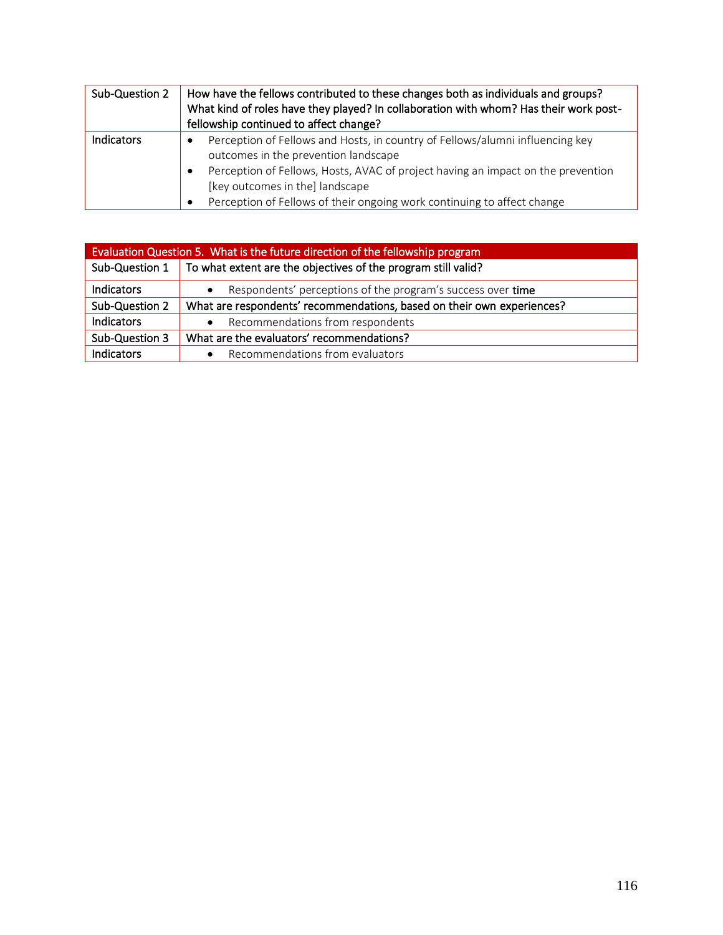| Sub-Question 2 | How have the fellows contributed to these changes both as individuals and groups?<br>What kind of roles have they played? In collaboration with whom? Has their work post-<br>fellowship continued to affect change?                                                                                                                      |
|----------------|-------------------------------------------------------------------------------------------------------------------------------------------------------------------------------------------------------------------------------------------------------------------------------------------------------------------------------------------|
| Indicators     | Perception of Fellows and Hosts, in country of Fellows/alumni influencing key<br>outcomes in the prevention landscape<br>Perception of Fellows, Hosts, AVAC of project having an impact on the prevention<br>٠<br>[key outcomes in the] landscape<br>Perception of Fellows of their ongoing work continuing to affect change<br>$\bullet$ |

| Evaluation Question 5. What is the future direction of the fellowship program |                                                                                     |  |
|-------------------------------------------------------------------------------|-------------------------------------------------------------------------------------|--|
|                                                                               | Sub-Question $1 \mid$ To what extent are the objectives of the program still valid? |  |
| Indicators                                                                    | Respondents' perceptions of the program's success over time                         |  |
| Sub-Question 2                                                                | What are respondents' recommendations, based on their own experiences?              |  |
| <b>Indicators</b>                                                             | Recommendations from respondents<br>$\bullet$                                       |  |
| Sub-Question 3                                                                | What are the evaluators' recommendations?                                           |  |
| Indicators                                                                    | Recommendations from evaluators<br>$\bullet$                                        |  |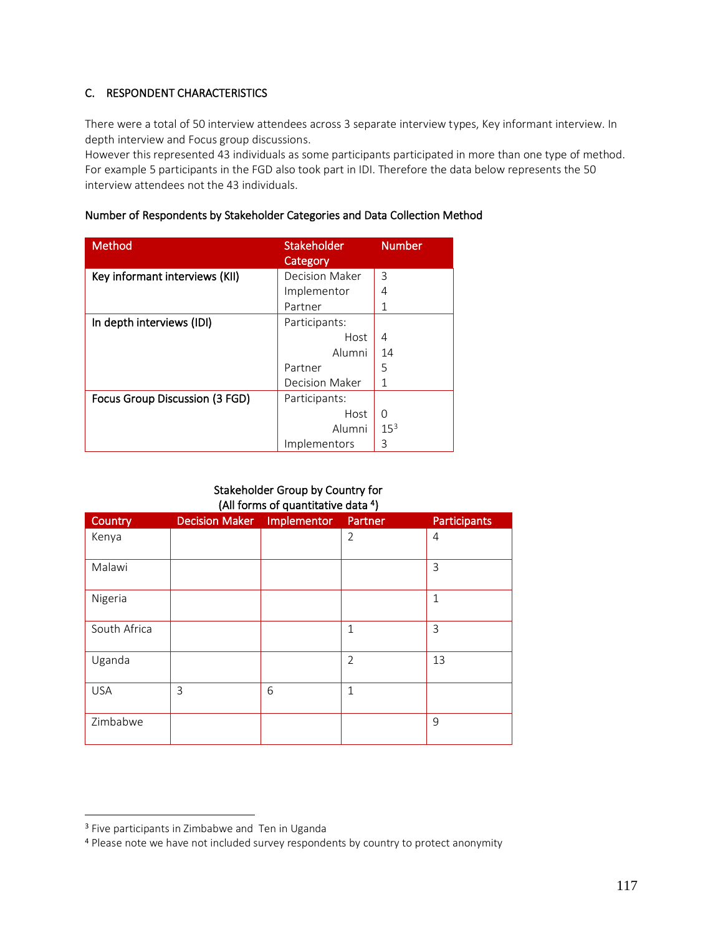## C. RESPONDENT CHARACTERISTICS

There were a total of 50 interview attendees across 3 separate interview types, Key informant interview. In depth interview and Focus group discussions.

However this represented 43 individuals as some participants participated in more than one type of method. For example 5 participants in the FGD also took part in IDI. Therefore the data below represents the 50 interview attendees not the 43 individuals.

## Number of Respondents by Stakeholder Categories and Data Collection Method

| <b>Method</b>                  | Stakeholder<br>Category | <b>Number</b>   |
|--------------------------------|-------------------------|-----------------|
| Key informant interviews (KII) | Decision Maker          | 3               |
|                                | Implementor             | 4               |
|                                | Partner                 |                 |
| In depth interviews (IDI)      | Participants:           |                 |
|                                | Host                    | 4               |
|                                | Alumni                  | 14              |
|                                | Partner                 | 5               |
|                                | Decision Maker          | 1               |
| Focus Group Discussion (3 FGD) | Participants:           |                 |
|                                | Host                    | $\Omega$        |
|                                | Alumni                  | 15 <sup>3</sup> |
|                                | Implementors            | 3               |

## Stakeholder Group by Country for (All forms of quantitative data <sup>4</sup> )

| Country      | <b>Decision Maker</b> | Implementor | Partner        | <b>Participants</b> |
|--------------|-----------------------|-------------|----------------|---------------------|
| Kenya        |                       |             | $\overline{2}$ | 4                   |
| Malawi       |                       |             |                | 3                   |
| Nigeria      |                       |             |                | $\mathbf{1}$        |
| South Africa |                       |             | $\mathbf{1}$   | 3                   |
| Uganda       |                       |             | $\overline{2}$ | 13                  |
| <b>USA</b>   | 3                     | 6           | $\mathbf{1}$   |                     |
| Zimbabwe     |                       |             |                | 9                   |

<sup>3</sup> Five participants in Zimbabwe and Ten in Uganda

<sup>4</sup> Please note we have not included survey respondents by country to protect anonymity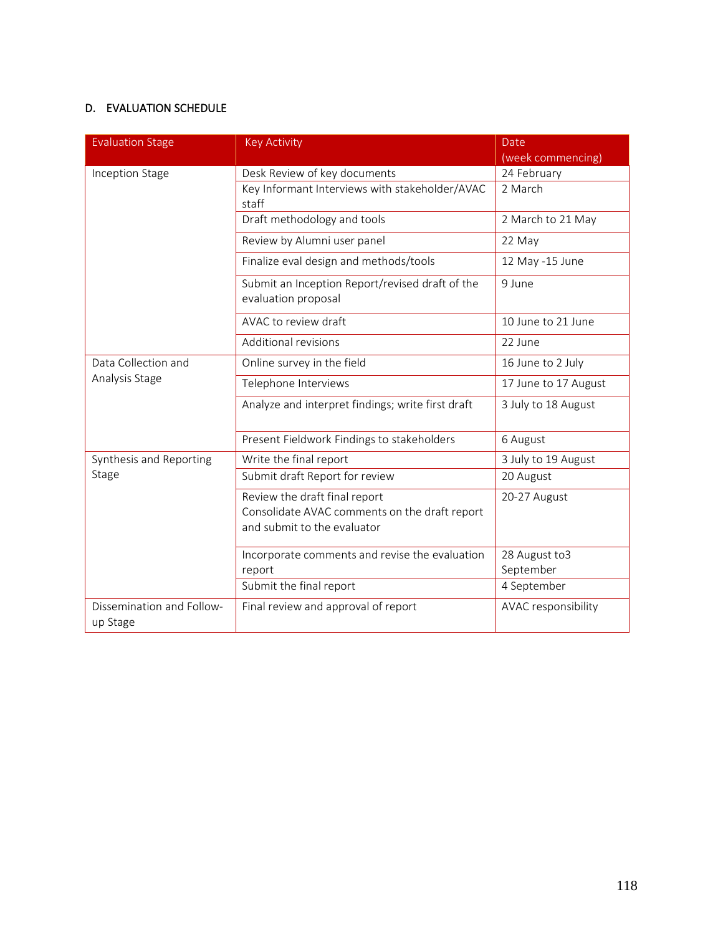## D. EVALUATION SCHEDULE

| <b>Evaluation Stage</b>               | <b>Key Activity</b>                                                                                           | Date<br>(week commencing)  |
|---------------------------------------|---------------------------------------------------------------------------------------------------------------|----------------------------|
| Inception Stage                       | Desk Review of key documents                                                                                  | 24 February                |
|                                       | Key Informant Interviews with stakeholder/AVAC<br>staff                                                       | 2 March                    |
|                                       | Draft methodology and tools                                                                                   | 2 March to 21 May          |
|                                       | Review by Alumni user panel                                                                                   | 22 May                     |
|                                       | Finalize eval design and methods/tools                                                                        | 12 May -15 June            |
|                                       | Submit an Inception Report/revised draft of the<br>evaluation proposal                                        | 9 June                     |
|                                       | AVAC to review draft                                                                                          | 10 June to 21 June         |
|                                       | Additional revisions                                                                                          | 22 June                    |
| Data Collection and                   | Online survey in the field                                                                                    | 16 June to 2 July          |
| Analysis Stage                        | Telephone Interviews                                                                                          | 17 June to 17 August       |
|                                       | Analyze and interpret findings; write first draft                                                             | 3 July to 18 August        |
|                                       | Present Fieldwork Findings to stakeholders                                                                    | 6 August                   |
| Synthesis and Reporting               | Write the final report                                                                                        | 3 July to 19 August        |
| Stage                                 | Submit draft Report for review                                                                                | 20 August                  |
|                                       | Review the draft final report<br>Consolidate AVAC comments on the draft report<br>and submit to the evaluator | 20-27 August               |
|                                       | Incorporate comments and revise the evaluation<br>report                                                      | 28 August to3<br>September |
|                                       | Submit the final report                                                                                       | 4 September                |
| Dissemination and Follow-<br>up Stage | Final review and approval of report                                                                           | AVAC responsibility        |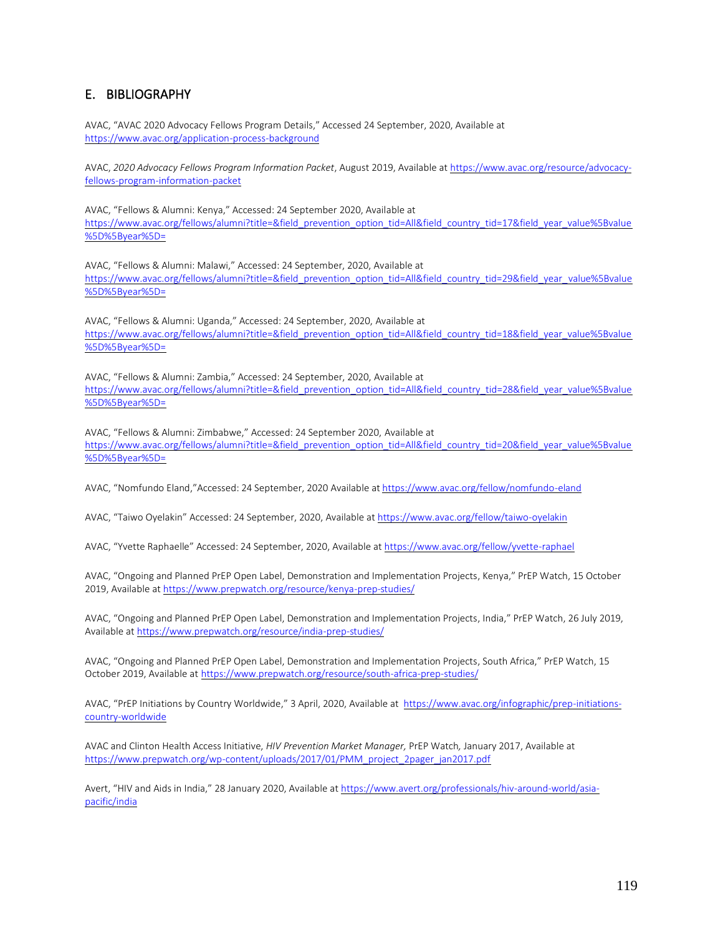## E. BIBLIOGRAPHY

AVAC, "AVAC 2020 Advocacy Fellows Program Details," Accessed 24 September, 2020, Available at <https://www.avac.org/application-process-background>

AVAC, *2020 Advocacy Fellows Program Information Packet*, August 2019, Available a[t https://www.avac.org/resource/advocacy](https://www.avac.org/resource/advocacy-fellows-program-information-packet)[fellows-program-information-packet](https://www.avac.org/resource/advocacy-fellows-program-information-packet)

AVAC, "Fellows & Alumni: Kenya," Accessed: 24 September 2020, Available at [https://www.avac.org/fellows/alumni?title=&field\\_prevention\\_option\\_tid=All&field\\_country\\_tid=17&field\\_year\\_value%5Bvalue](https://www.avac.org/fellows/alumni?title=&field_prevention_option_tid=All&field_country_tid=17&field_year_value%5Bvalue%5D%5Byear%5D=) [%5D%5Byear%5D=](https://www.avac.org/fellows/alumni?title=&field_prevention_option_tid=All&field_country_tid=17&field_year_value%5Bvalue%5D%5Byear%5D=)

AVAC, "Fellows & Alumni: Malawi," Accessed: 24 September, 2020, Available at [https://www.avac.org/fellows/alumni?title=&field\\_prevention\\_option\\_tid=All&field\\_country\\_tid=29&field\\_year\\_value%5Bvalue](https://www.avac.org/fellows/alumni?title=&field_prevention_option_tid=All&field_country_tid=29&field_year_value%5Bvalue%5D%5Byear%5D=) [%5D%5Byear%5D=](https://www.avac.org/fellows/alumni?title=&field_prevention_option_tid=All&field_country_tid=29&field_year_value%5Bvalue%5D%5Byear%5D=)

AVAC, "Fellows & Alumni: Uganda," Accessed: 24 September, 2020, Available at [https://www.avac.org/fellows/alumni?title=&field\\_prevention\\_option\\_tid=All&field\\_country\\_tid=18&field\\_year\\_value%5Bvalue](https://www.avac.org/fellows/alumni?title=&field_prevention_option_tid=All&field_country_tid=18&field_year_value%5Bvalue%5D%5Byear%5D=) [%5D%5Byear%5D=](https://www.avac.org/fellows/alumni?title=&field_prevention_option_tid=All&field_country_tid=18&field_year_value%5Bvalue%5D%5Byear%5D=)

AVAC, "Fellows & Alumni: Zambia," Accessed: 24 September, 2020, Available at https://www.avac.org/fellows/alumni?title=&field\_prevention\_option\_tid=All&field\_country\_tid=28&field\_year\_value%5Bvalue %5D%5Byear%5D=

AVAC, "Fellows & Alumni: Zimbabwe," Accessed: 24 September 2020, Available at [https://www.avac.org/fellows/alumni?title=&field\\_prevention\\_option\\_tid=All&field\\_country\\_tid=20&field\\_year\\_value%5Bvalue](https://www.avac.org/fellows/alumni?title=&field_prevention_option_tid=All&field_country_tid=20&field_year_value%5Bvalue%5D%5Byear%5D=) [%5D%5Byear%5D=](https://www.avac.org/fellows/alumni?title=&field_prevention_option_tid=All&field_country_tid=20&field_year_value%5Bvalue%5D%5Byear%5D=)

AVAC, "Nomfundo Eland,"Accessed: 24 September, 2020 Available at <https://www.avac.org/fellow/nomfundo-eland>

AVAC, "Taiwo Oyelakin" Accessed: 24 September, 2020, Available a[t https://www.avac.org/fellow/taiwo-oyelakin](https://www.avac.org/fellow/taiwo-oyelakin)

AVAC, "Yvette Raphaelle" Accessed: 24 September, 2020, Available a[t https://www.avac.org/fellow/yvette-raphael](https://www.avac.org/fellow/yvette-raphael)

AVAC, "Ongoing and Planned PrEP Open Label, Demonstration and Implementation Projects, Kenya," PrEP Watch, 15 October 2019, Available a[t https://www.prepwatch.org/resource/kenya-prep-studies/](https://www.prepwatch.org/resource/kenya-prep-studies/)

AVAC, "Ongoing and Planned PrEP Open Label, Demonstration and Implementation Projects, India," PrEP Watch, 26 July 2019, Available at<https://www.prepwatch.org/resource/india-prep-studies/>

AVAC, "Ongoing and Planned PrEP Open Label, Demonstration and Implementation Projects, South Africa," PrEP Watch, 15 October 2019, Available at <https://www.prepwatch.org/resource/south-africa-prep-studies/>

AVAC, "PrEP Initiations by Country Worldwide," 3 April, 2020, Available at [https://www.avac.org/infographic/prep-initiations](https://www.avac.org/infographic/prep-initiations-country-worldwide)[country-worldwide](https://www.avac.org/infographic/prep-initiations-country-worldwide)

AVAC and Clinton Health Access Initiative, *HIV Prevention Market Manager,* PrEP Watch*,* January 2017, Available at [https://www.prepwatch.org/wp-content/uploads/2017/01/PMM\\_project\\_2pager\\_jan2017.pdf](https://www.prepwatch.org/wp-content/uploads/2017/01/PMM_project_2pager_jan2017.pdf)

Avert, "HIV and Aids in India," 28 January 2020, Available at [https://www.avert.org/professionals/hiv-around-world/asia](https://www.avert.org/professionals/hiv-around-world/asia-pacific/india)[pacific/india](https://www.avert.org/professionals/hiv-around-world/asia-pacific/india)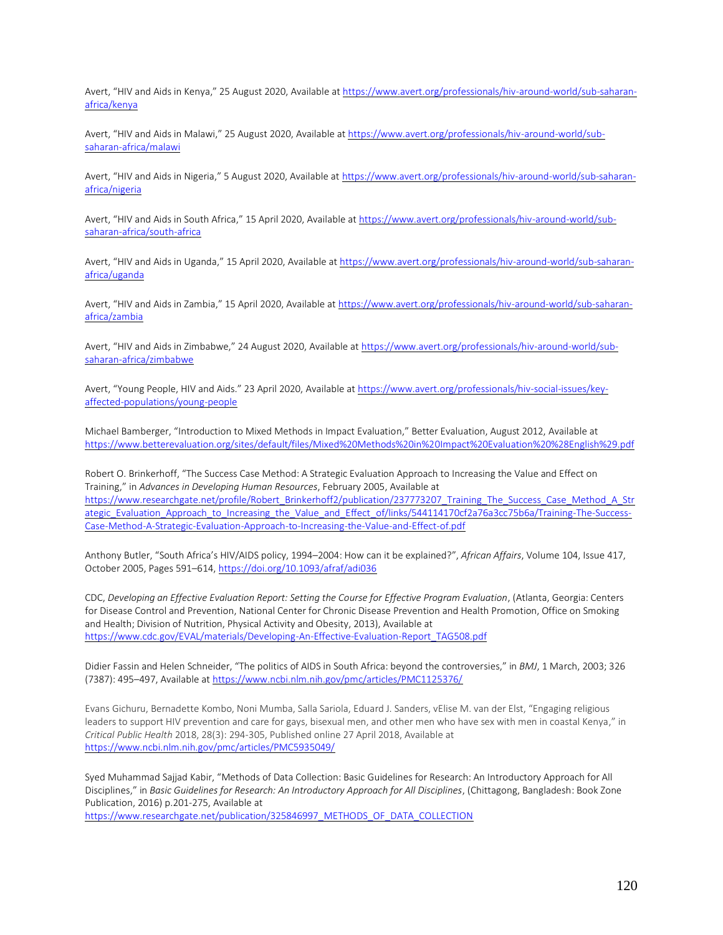Avert, "HIV and Aids in Kenya," 25 August 2020, Available at [https://www.avert.org/professionals/hiv-around-world/sub-saharan](https://www.avert.org/professionals/hiv-around-world/sub-saharan-africa/kenya)[africa/kenya](https://www.avert.org/professionals/hiv-around-world/sub-saharan-africa/kenya)

Avert, "HIV and Aids in Malawi," 25 August 2020, Available a[t https://www.avert.org/professionals/hiv-around-world/sub](https://www.avert.org/professionals/hiv-around-world/sub-saharan-africa/malawi)[saharan-africa/malawi](https://www.avert.org/professionals/hiv-around-world/sub-saharan-africa/malawi)

Avert, "HIV and Aids in Nigeria," 5 August 2020, Available at [https://www.avert.org/professionals/hiv-around-world/sub-saharan](https://www.avert.org/professionals/hiv-around-world/sub-saharan-africa/nigeria)[africa/nigeria](https://www.avert.org/professionals/hiv-around-world/sub-saharan-africa/nigeria)

Avert, "HIV and Aids in South Africa," 15 April 2020, Available a[t https://www.avert.org/professionals/hiv-around-world/sub](https://www.avert.org/professionals/hiv-around-world/sub-saharan-africa/south-africa)[saharan-africa/south-africa](https://www.avert.org/professionals/hiv-around-world/sub-saharan-africa/south-africa)

Avert, "HIV and Aids in Uganda," 15 April 2020, Available at [https://www.avert.org/professionals/hiv-around-world/sub-saharan](https://www.avert.org/professionals/hiv-around-world/sub-saharan-africa/uganda)[africa/uganda](https://www.avert.org/professionals/hiv-around-world/sub-saharan-africa/uganda)

Avert, "HIV and Aids in Zambia," 15 April 2020, Available a[t https://www.avert.org/professionals/hiv-around-world/sub-saharan](https://www.avert.org/professionals/hiv-around-world/sub-saharan-africa/zambia)[africa/zambia](https://www.avert.org/professionals/hiv-around-world/sub-saharan-africa/zambia)

Avert, "HIV and Aids in Zimbabwe," 24 August 2020, Available a[t https://www.avert.org/professionals/hiv-around-world/sub](https://www.avert.org/professionals/hiv-around-world/sub-saharan-africa/zimbabwe)[saharan-africa/zimbabwe](https://www.avert.org/professionals/hiv-around-world/sub-saharan-africa/zimbabwe)

Avert, "Young People, HIV and Aids." 23 April 2020, Available a[t https://www.avert.org/professionals/hiv-social-issues/key](https://www.avert.org/professionals/hiv-social-issues/key-affected-populations/young-people)[affected-populations/young-people](https://www.avert.org/professionals/hiv-social-issues/key-affected-populations/young-people)

Michael Bamberger, "Introduction to Mixed Methods in Impact Evaluation," Better Evaluation, August 2012, Available at <https://www.betterevaluation.org/sites/default/files/Mixed%20Methods%20in%20Impact%20Evaluation%20%28English%29.pdf>

Robert O. Brinkerhoff, "The Success Case Method: A Strategic Evaluation Approach to Increasing the Value and Effect on Training," in *Advances in Developing Human Resources*, February 2005, Available at [https://www.researchgate.net/profile/Robert\\_Brinkerhoff2/publication/237773207\\_Training\\_The\\_Success\\_Case\\_Method\\_A\\_Str](https://www.researchgate.net/profile/Robert_Brinkerhoff2/publication/237773207_Training_The_Success_Case_Method_A_Strategic_Evaluation_Approach_to_Increasing_the_Value_and_Effect_of/links/544114170cf2a76a3cc75b6a/Training-The-Success-Case-Method-A-Strategic-Evaluation-Approach-to-Increasing-the-Value-and-Effect-of.pdf) [ategic\\_Evaluation\\_Approach\\_to\\_Increasing\\_the\\_Value\\_and\\_Effect\\_of/links/544114170cf2a76a3cc75b6a/Training-The-Success-](https://www.researchgate.net/profile/Robert_Brinkerhoff2/publication/237773207_Training_The_Success_Case_Method_A_Strategic_Evaluation_Approach_to_Increasing_the_Value_and_Effect_of/links/544114170cf2a76a3cc75b6a/Training-The-Success-Case-Method-A-Strategic-Evaluation-Approach-to-Increasing-the-Value-and-Effect-of.pdf)[Case-Method-A-Strategic-Evaluation-Approach-to-Increasing-the-Value-and-Effect-of.pdf](https://www.researchgate.net/profile/Robert_Brinkerhoff2/publication/237773207_Training_The_Success_Case_Method_A_Strategic_Evaluation_Approach_to_Increasing_the_Value_and_Effect_of/links/544114170cf2a76a3cc75b6a/Training-The-Success-Case-Method-A-Strategic-Evaluation-Approach-to-Increasing-the-Value-and-Effect-of.pdf)

Anthony Butler, "South Africa's HIV/AIDS policy, 1994–2004: How can it be explained?", *African Affairs*, Volume 104, Issue 417, October 2005, Pages 591–614, <https://doi.org/10.1093/afraf/adi036>

CDC, *Developing an Effective Evaluation Report: Setting the Course for Effective Program Evaluation*, (Atlanta, Georgia: Centers for Disease Control and Prevention, National Center for Chronic Disease Prevention and Health Promotion, Office on Smoking and Health; Division of Nutrition, Physical Activity and Obesity, 2013), Available at [https://www.cdc.gov/EVAL/materials/Developing-An-Effective-Evaluation-Report\\_TAG508.pdf](https://www.cdc.gov/EVAL/materials/Developing-An-Effective-Evaluation-Report_TAG508.pdf)

Didier Fassin and Helen Schneider, "The politics of AIDS in South Africa: beyond the controversies," in *BMJ*, 1 March, 2003; 326 (7387): 495–497, Available at <https://www.ncbi.nlm.nih.gov/pmc/articles/PMC1125376/>

Evans Gichuru, Bernadette Kombo, Noni Mumba, Salla Sariola, Eduard J. Sanders, vElise M. van der Elst, "Engaging religious leaders to support HIV prevention and care for gays, bisexual men, and other men who have sex with men in coastal Kenya," in *Critical Public Health* 2018, 28(3): 294-305, Published online 27 April 2018, Available at <https://www.ncbi.nlm.nih.gov/pmc/articles/PMC5935049/>

Syed Muhammad Sajjad Kabir, "Methods of Data Collection: Basic Guidelines for Research: An Introductory Approach for All Disciplines," in *Basic Guidelines for Research: An Introductory Approach for All Disciplines*, (Chittagong, Bangladesh: Book Zone Publication, 2016) p.201-275, Available at [https://www.researchgate.net/publication/325846997\\_METHODS\\_OF\\_DATA\\_COLLECTION](https://www.researchgate.net/publication/325846997_METHODS_OF_DATA_COLLECTION)

120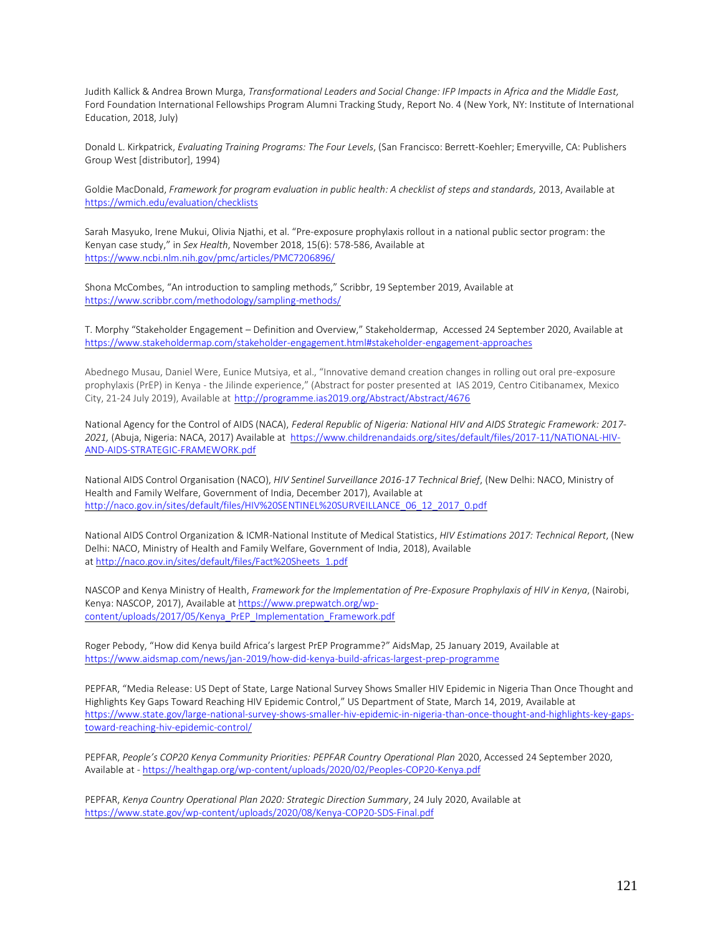Judith Kallick & Andrea Brown Murga, *Transformational Leaders and Social Change: IFP Impacts in Africa and the Middle East,* Ford Foundation International Fellowships Program Alumni Tracking Study, Report No. 4 (New York, NY: Institute of International Education, 2018, July)

Donald L. Kirkpatrick, *Evaluating Training Programs: The Four Levels*, (San Francisco: Berrett-Koehler; Emeryville, CA: Publishers Group West [distributor], 1994)

Goldie MacDonald, Framework for program evaluation in public health: A checklist of steps and standards, 2013, Available at <https://wmich.edu/evaluation/checklists>

Sarah Masyuko, Irene Mukui, Olivia Njathi, et al. "Pre-exposure prophylaxis rollout in a national public sector program: the Kenyan case study," in *Sex Health*, November 2018, 15(6): 578-586, Available at <https://www.ncbi.nlm.nih.gov/pmc/articles/PMC7206896/>

Shona McCombes, "An introduction to sampling methods," Scribbr, 19 September 2019, Available at <https://www.scribbr.com/methodology/sampling-methods/>

T. Morphy "Stakeholder Engagement – Definition and Overview," Stakeholdermap, Accessed 24 September 2020, Available at <https://www.stakeholdermap.com/stakeholder-engagement.html#stakeholder-engagement-approaches>

Abednego Musau, Daniel Were, Eunice Mutsiya, et al., "Innovative demand creation changes in rolling out oral pre-exposure prophylaxis (PrEP) in Kenya - the Jilinde experience," (Abstract for poster presented at IAS 2019, Centro Citibanamex, Mexico City, 21-24 July 2019), Available at <http://programme.ias2019.org/Abstract/Abstract/4676>

National Agency for the Control of AIDS (NACA), *Federal Republic of Nigeria: National HIV and AIDS Strategic Framework: 2017- 2021,* (Abuja, Nigeria: NACA, 2017) Available at [https://www.childrenandaids.org/sites/default/files/2017-11/NATIONAL-HIV-](https://www.childrenandaids.org/sites/default/files/2017-11/NATIONAL-HIV-AND-AIDS-STRATEGIC-FRAMEWORK.pdf)[AND-AIDS-STRATEGIC-FRAMEWORK.pdf](https://www.childrenandaids.org/sites/default/files/2017-11/NATIONAL-HIV-AND-AIDS-STRATEGIC-FRAMEWORK.pdf)

National AIDS Control Organisation (NACO), *HIV Sentinel Surveillance 2016-17 Technical Brief*, (New Delhi: NACO, Ministry of Health and Family Welfare, Government of India, December 2017), Available at [http://naco.gov.in/sites/default/files/HIV%20SENTINEL%20SURVEILLANCE\\_06\\_12\\_2017\\_0.pdf](http://naco.gov.in/sites/default/files/HIV%20SENTINEL%20SURVEILLANCE_06_12_2017_0.pdf)

National AIDS Control Organization & ICMR-National Institute of Medical Statistics, *HIV Estimations 2017: Technical Report*, (New Delhi: NACO, Ministry of Health and Family Welfare, Government of India, 2018), Available at [http://naco.gov.in/sites/default/files/Fact%20Sheets\\_1.pdf](http://naco.gov.in/sites/default/files/Fact%20Sheets_1.pdf)

NASCOP and Kenya Ministry of Health, *Framework for the Implementation of Pre-Exposure Prophylaxis of HIV in Kenya*, (Nairobi, Kenya: NASCOP, 2017), Available at [https://www.prepwatch.org/wp](https://www.prepwatch.org/wp-content/uploads/2017/05/Kenya_PrEP_Implementation_Framework.pdf)[content/uploads/2017/05/Kenya\\_PrEP\\_Implementation\\_Framework.pdf](https://www.prepwatch.org/wp-content/uploads/2017/05/Kenya_PrEP_Implementation_Framework.pdf)

Roger Pebody, "How did Kenya build Africa's largest PrEP Programme?" AidsMap, 25 January 2019, Available at <https://www.aidsmap.com/news/jan-2019/how-did-kenya-build-africas-largest-prep-programme>

PEPFAR, "Media Release: US Dept of State, Large National Survey Shows Smaller HIV Epidemic in Nigeria Than Once Thought and Highlights Key Gaps Toward Reaching HIV Epidemic Control," US Department of State, March 14, 2019, Available at [https://www.state.gov/large-national-survey-shows-smaller-hiv-epidemic-in-nigeria-than-once-thought-and-highlights-key-gaps](https://www.state.gov/large-national-survey-shows-smaller-hiv-epidemic-in-nigeria-than-once-thought-and-highlights-key-gaps-toward-reaching-hiv-epidemic-control/)[toward-reaching-hiv-epidemic-control/](https://www.state.gov/large-national-survey-shows-smaller-hiv-epidemic-in-nigeria-than-once-thought-and-highlights-key-gaps-toward-reaching-hiv-epidemic-control/)

PEPFAR, People's COP20 Kenya Community Priorities: PEPFAR Country Operational Plan 2020, Accessed 24 September 2020, Available at - <https://healthgap.org/wp-content/uploads/2020/02/Peoples-COP20-Kenya.pdf>

PEPFAR, *Kenya Country Operational Plan 2020: Strategic Direction Summary*, 24 July 2020, Available at <https://www.state.gov/wp-content/uploads/2020/08/Kenya-COP20-SDS-Final.pdf>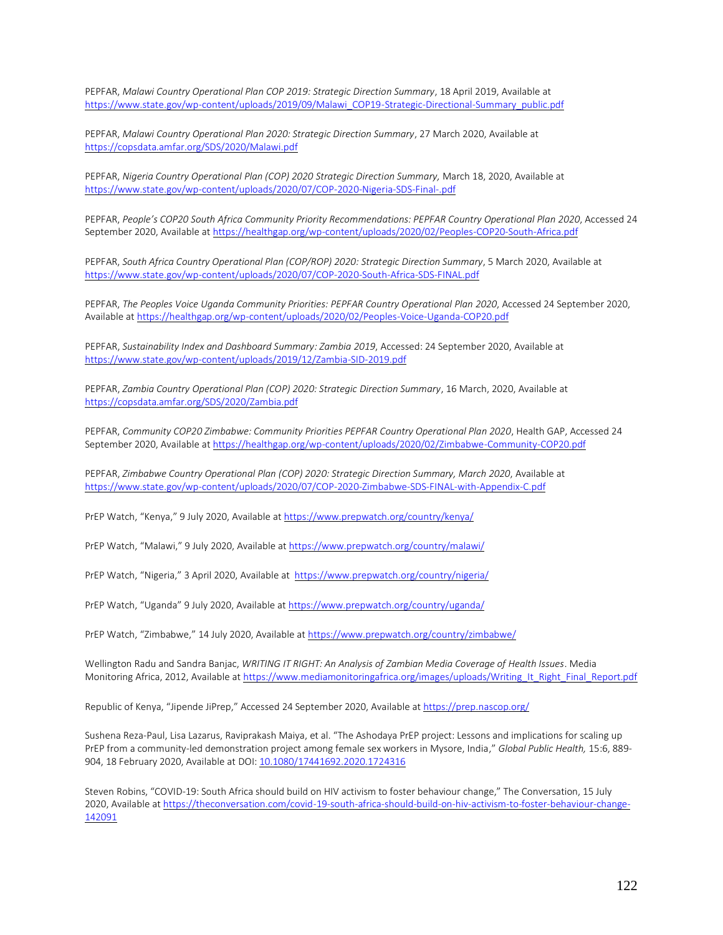PEPFAR, *Malawi Country Operational Plan COP 2019: Strategic Direction Summary*, 18 April 2019, Available at [https://www.state.gov/wp-content/uploads/2019/09/Malawi\\_COP19-Strategic-Directional-Summary\\_public.pdf](https://www.state.gov/wp-content/uploads/2019/09/Malawi_COP19-Strategic-Directional-Summary_public.pdf)

PEPFAR, *Malawi Country Operational Plan 2020: Strategic Direction Summary*, 27 March 2020, Available at <https://copsdata.amfar.org/SDS/2020/Malawi.pdf>

PEPFAR, *Nigeria Country Operational Plan (COP) 2020 Strategic Direction Summary,* March 18, 2020, Available at <https://www.state.gov/wp-content/uploads/2020/07/COP-2020-Nigeria-SDS-Final-.pdf>

PEPFAR, *People's COP20 South Africa Community Priority Recommendations: PEPFAR Country Operational Plan 2020*, Accessed 24 September 2020, Available a[t https://healthgap.org/wp-content/uploads/2020/02/Peoples-COP20-South-Africa.pdf](https://healthgap.org/wp-content/uploads/2020/02/Peoples-COP20-South-Africa.pdf)

PEPFAR, *South Africa Country Operational Plan (COP/ROP) 2020: Strategic Direction Summary*, 5 March 2020, Available at <https://www.state.gov/wp-content/uploads/2020/07/COP-2020-South-Africa-SDS-FINAL.pdf>

PEPFAR, *The Peoples Voice Uganda Community Priorities: PEPFAR Country Operational Plan 2020*, Accessed 24 September 2020, Available at<https://healthgap.org/wp-content/uploads/2020/02/Peoples-Voice-Uganda-COP20.pdf>

PEPFAR, *Sustainability Index and Dashboard Summary: Zambia 2019*, Accessed: 24 September 2020, Available at <https://www.state.gov/wp-content/uploads/2019/12/Zambia-SID-2019.pdf>

PEPFAR, *Zambia Country Operational Plan (COP) 2020: Strategic Direction Summary*, 16 March, 2020, Available at <https://copsdata.amfar.org/SDS/2020/Zambia.pdf>

PEPFAR, *Community COP20 Zimbabwe: Community Priorities PEPFAR Country Operational Plan 2020*, Health GAP, Accessed 24 September 2020, Available a[t https://healthgap.org/wp-content/uploads/2020/02/Zimbabwe-Community-COP20.pdf](https://healthgap.org/wp-content/uploads/2020/02/Zimbabwe-Community-COP20.pdf)

PEPFAR, *Zimbabwe Country Operational Plan (COP) 2020: Strategic Direction Summary, March 2020*, Available at <https://www.state.gov/wp-content/uploads/2020/07/COP-2020-Zimbabwe-SDS-FINAL-with-Appendix-C.pdf>

PrEP Watch, "Kenya," 9 July 2020, Available a[t https://www.prepwatch.org/country/kenya/](https://www.prepwatch.org/country/kenya/)

PrEP Watch, "Malawi," 9 July 2020, Available at<https://www.prepwatch.org/country/malawi/>

PrEP Watch, "Nigeria," 3 April 2020, Available at<https://www.prepwatch.org/country/nigeria/>

PrEP Watch, "Uganda" 9 July 2020, Available a[t https://www.prepwatch.org/country/uganda/](https://www.prepwatch.org/country/uganda/)

PrEP Watch, "Zimbabwe," 14 July 2020, Available a[t https://www.prepwatch.org/country/zimbabwe/](https://www.prepwatch.org/country/zimbabwe/)

Wellington Radu and Sandra Banjac, *WRITING IT RIGHT: An Analysis of Zambian Media Coverage of Health Issues*. Media Monitoring Africa, 2012, Available at [https://www.mediamonitoringafrica.org/images/uploads/Writing\\_It\\_Right\\_Final\\_Report.pdf](https://www.mediamonitoringafrica.org/images/uploads/Writing_It_Right_Final_Report.pdf)

Republic of Kenya, "Jipende JiPrep," Accessed 24 September 2020, Available a[t https://prep.nascop.org/](https://prep.nascop.org/)

Sushena Reza-Paul, Lisa Lazarus, Raviprakash Maiya, et al. "The Ashodaya PrEP project: Lessons and implications for scaling up PrEP from a community-led demonstration project among female sex workers in Mysore, India," *Global Public Health,* 15:6, 889- 904, 18 February 2020, Available at DOI: [10.1080/17441692.2020.1724316](https://doi.org/10.1080/17441692.2020.1724316)

Steven Robins, "COVID-19: South Africa should build on HIV activism to foster behaviour change," The Conversation, 15 July 2020, Available a[t https://theconversation.com/covid-19-south-africa-should-build-on-hiv-activism-to-foster-behaviour-change-](https://theconversation.com/covid-19-south-africa-should-build-on-hiv-activism-to-foster-behaviour-change-142091)[142091](https://theconversation.com/covid-19-south-africa-should-build-on-hiv-activism-to-foster-behaviour-change-142091)